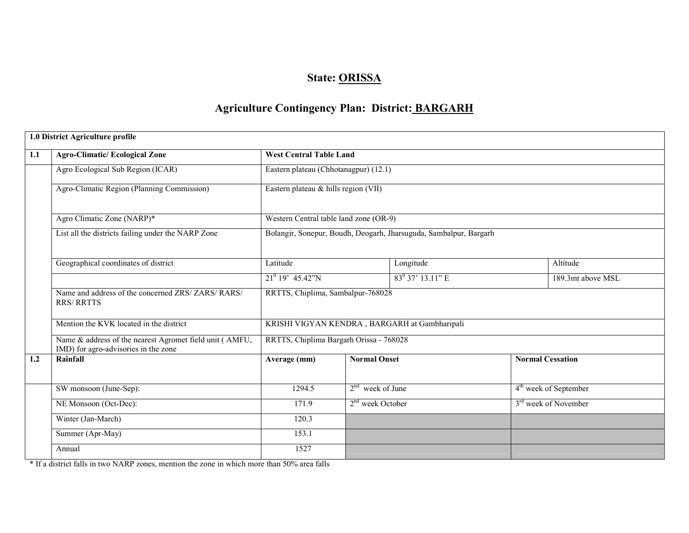# State: ORISSA

# Agriculture Contingency Plan: District: BARGARH

|     | 1.0 District Agriculture profile                                                                |                                         |                     |                                                                   |  |                                   |  |
|-----|-------------------------------------------------------------------------------------------------|-----------------------------------------|---------------------|-------------------------------------------------------------------|--|-----------------------------------|--|
| 1.1 | <b>Agro-Climatic/Ecological Zone</b>                                                            | <b>West Central Table Land</b>          |                     |                                                                   |  |                                   |  |
|     | Agro Ecological Sub Region (ICAR)                                                               | Eastern plateau (Chhotanagpur) (12.1)   |                     |                                                                   |  |                                   |  |
|     | Agro-Climatic Region (Planning Commission)                                                      | Eastern plateau & hills region (VII)    |                     |                                                                   |  |                                   |  |
|     | Agro Climatic Zone (NARP)*                                                                      | Western Central table land zone (OR-9)  |                     |                                                                   |  |                                   |  |
|     | List all the districts failing under the NARP Zone                                              |                                         |                     | Bolangir, Sonepur, Boudh, Deogarh, Jharsuguda, Sambalpur, Bargarh |  |                                   |  |
|     | Geographical coordinates of district                                                            | Latitude                                |                     | Longitude                                                         |  | Altitude                          |  |
|     |                                                                                                 | $21^0$ 19' 45.42"N                      | $83^0$ 37' 13.11" E |                                                                   |  | 189.3mt above MSL                 |  |
|     | Name and address of the concerned ZRS/ ZARS/ RARS/<br><b>RRS/ RRTTS</b>                         | RRTTS, Chiplima, Sambalpur-768028       |                     |                                                                   |  |                                   |  |
|     | Mention the KVK located in the district                                                         |                                         |                     | KRISHI VIGYAN KENDRA, BARGARH at Gambharipali                     |  |                                   |  |
|     | Name & address of the nearest Agromet field unit (AMFU,<br>IMD) for agro-advisories in the zone | RRTTS, Chiplima Bargarh Orissa - 768028 |                     |                                                                   |  |                                   |  |
| 1.2 | Rainfall                                                                                        | Average (mm)                            | <b>Normal Onset</b> |                                                                   |  | <b>Normal Cessation</b>           |  |
|     | SW monsoon (June-Sep):                                                                          | 1294.5                                  | $2nd$ week of June  |                                                                   |  | 4 <sup>th</sup> week of September |  |
|     | NE Monsoon (Oct-Dec):                                                                           | 171.9                                   | $2nd$ week October  |                                                                   |  | 3 <sup>rd</sup> week of November  |  |
|     | Winter (Jan-March)                                                                              | 120.3                                   |                     |                                                                   |  |                                   |  |
|     | Summer (Apr-May)                                                                                | 153.1                                   |                     |                                                                   |  |                                   |  |
|     | Annual                                                                                          | 1527                                    |                     |                                                                   |  |                                   |  |

\* If a district falls in two NARP zones, mention the zone in which more than 50% area falls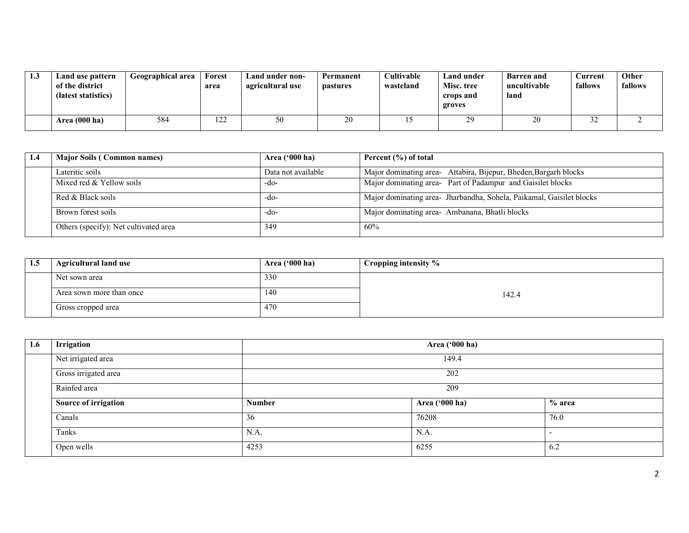| 1.3 | Land use pattern<br>of the district<br>(latest statistics) | Geographical area | Forest<br>area                 | Land under non-<br>agricultural use | Permanent<br><i>pastures</i> | <b>Cultivable</b><br>wasteland | Land under<br>Misc. tree<br>crops and<br>groves | <b>Barren</b> and<br>uncultivable<br>land | Current<br>fallows | Other<br>fallows |
|-----|------------------------------------------------------------|-------------------|--------------------------------|-------------------------------------|------------------------------|--------------------------------|-------------------------------------------------|-------------------------------------------|--------------------|------------------|
|     | Area (000 ha)                                              | 584               | ຳ^<br>$\overline{\phantom{a}}$ | 50                                  |                              |                                | 20<br>ر ت                                       | 20                                        | ے ر                |                  |

| -1.4 | <b>Major Soils (Common names)</b>     | Area $(900 \text{ ha})$ | Percent $(\% )$ of total                                             |
|------|---------------------------------------|-------------------------|----------------------------------------------------------------------|
|      | Lateritic soils                       | Data not available      | Major dominating area- Attabira, Bijepur, Bheden, Bargarh blocks     |
|      | Mixed red & Yellow soils              | -do-                    | Major dominating area- Part of Padampur and Gaisilet blocks          |
|      | Red & Black soils                     | -do-                    | Major dominating area- Jharbandha, Sohela, Paikamal, Gaisilet blocks |
|      | Brown forest soils                    | -do-                    | Major dominating area- Ambanana, Bhatli blocks                       |
|      | Others (specify): Net cultivated area | 349                     | 60%                                                                  |

| 1.5 | <b>Agricultural land use</b> | Area $('000 ha)$ | Cropping intensity % |
|-----|------------------------------|------------------|----------------------|
|     | Net sown area                | 330              |                      |
|     | Area sown more than once     | 140              | 142.4                |
|     | Gross cropped area           | 470              |                      |

| 1.6 | Irrigation           |               | Area ('000 ha) |          |  |  |
|-----|----------------------|---------------|----------------|----------|--|--|
|     | Net irrigated area   |               | 149.4          |          |  |  |
|     | Gross irrigated area |               | 202            |          |  |  |
|     | Rainfed area         |               | 209            |          |  |  |
|     | Source of irrigation | <b>Number</b> | Area ('000 ha) | $%$ area |  |  |
|     | Canals               | 36            | 76208          | 76.0     |  |  |
|     | Tanks                | N.A.          | N.A.           |          |  |  |
|     | Open wells           | 4253          | 6255           | 6.2      |  |  |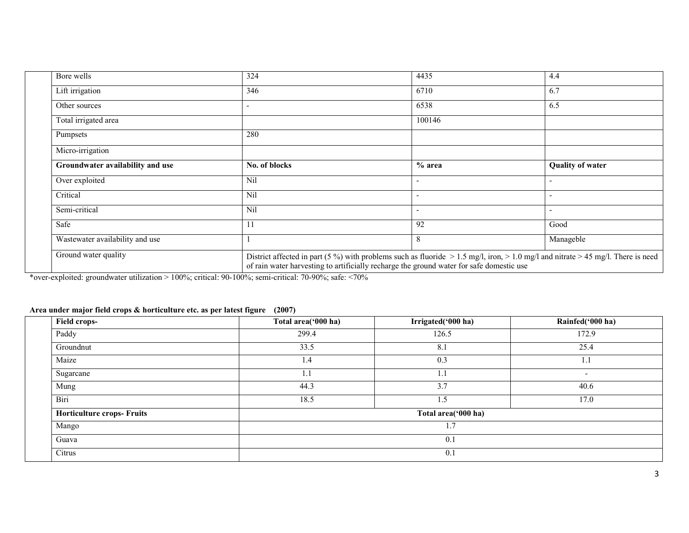| Bore wells                       | 324                                                                                                                                                                                                                                | 4435                     | 4.4                      |  |  |  |
|----------------------------------|------------------------------------------------------------------------------------------------------------------------------------------------------------------------------------------------------------------------------------|--------------------------|--------------------------|--|--|--|
| Lift irrigation                  | 346                                                                                                                                                                                                                                | 6710                     | 6.7                      |  |  |  |
| Other sources                    | ٠                                                                                                                                                                                                                                  | 6538                     | 6.5                      |  |  |  |
| Total irrigated area             |                                                                                                                                                                                                                                    | 100146                   |                          |  |  |  |
| Pumpsets                         | 280                                                                                                                                                                                                                                |                          |                          |  |  |  |
| Micro-irrigation                 |                                                                                                                                                                                                                                    |                          |                          |  |  |  |
| Groundwater availability and use | No. of blocks                                                                                                                                                                                                                      | $%$ area                 | <b>Quality of water</b>  |  |  |  |
| Over exploited                   | <b>Nil</b>                                                                                                                                                                                                                         |                          |                          |  |  |  |
| Critical                         | Nil                                                                                                                                                                                                                                | $\overline{\phantom{0}}$ | $\overline{\phantom{a}}$ |  |  |  |
| Semi-critical                    | Nil                                                                                                                                                                                                                                |                          | $\overline{\phantom{a}}$ |  |  |  |
| Safe                             | 11                                                                                                                                                                                                                                 | 92                       | Good                     |  |  |  |
| Wastewater availability and use  |                                                                                                                                                                                                                                    | 8                        | Manageble                |  |  |  |
| Ground water quality             | District affected in part (5 %) with problems such as fluoride $> 1.5$ mg/l, iron, $> 1.0$ mg/l and nitrate $> 45$ mg/l. There is need<br>of rain water harvesting to artificially recharge the ground water for safe domestic use |                          |                          |  |  |  |

\*over-exploited: groundwater utilization > 100%; critical: 90-100%; semi-critical: 70-90%; safe: <70%

#### Area under major field crops & horticulture etc. as per latest figure (2007)

| <b>Field crops-</b>               | Total area('000 ha) | Irrigated('000 ha)  | Rainfed('000 ha)         |  |  |  |  |
|-----------------------------------|---------------------|---------------------|--------------------------|--|--|--|--|
| Paddy                             | 299.4               | 126.5               | 172.9                    |  |  |  |  |
| Groundnut                         | 33.5                | 8.1                 | 25.4                     |  |  |  |  |
| Maize                             | 1.4                 | 0.3                 | I.I                      |  |  |  |  |
| Sugarcane                         | 1.1                 |                     | $\overline{\phantom{a}}$ |  |  |  |  |
| Mung                              | 44.3                | 3.7                 | 40.6                     |  |  |  |  |
| Biri                              | 18.5                | 1.5                 | 17.0                     |  |  |  |  |
| <b>Horticulture crops- Fruits</b> |                     | Total area('000 ha) |                          |  |  |  |  |
| Mango                             |                     | 1.7                 |                          |  |  |  |  |
| Guava                             |                     | 0.1                 |                          |  |  |  |  |
| Citrus                            |                     | 0.1                 |                          |  |  |  |  |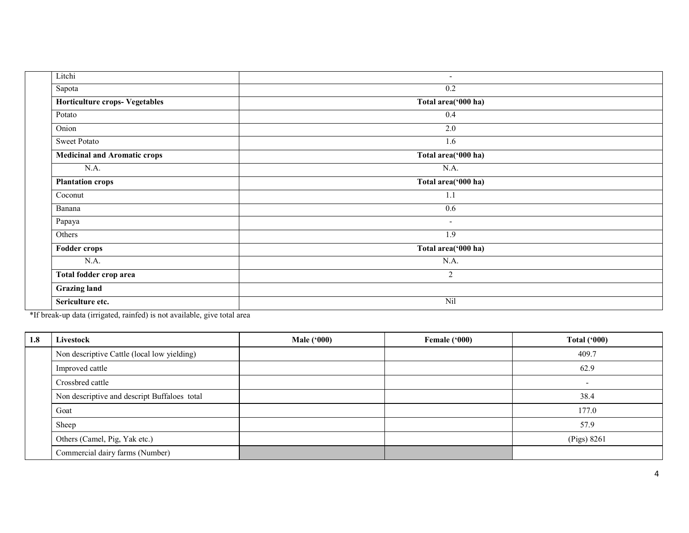| Litchi                                | $\overline{\phantom{a}}$ |  |
|---------------------------------------|--------------------------|--|
| Sapota                                | 0.2                      |  |
| <b>Horticulture crops- Vegetables</b> | Total area('000 ha)      |  |
| Potato                                | 0.4                      |  |
| Onion                                 | 2.0                      |  |
| <b>Sweet Potato</b>                   | 1.6                      |  |
| <b>Medicinal and Aromatic crops</b>   | Total area('000 ha)      |  |
| N.A.                                  | N.A.                     |  |
| <b>Plantation crops</b>               | Total area('000 ha)      |  |
| Coconut                               | 1.1                      |  |
| Banana                                | 0.6                      |  |
| Papaya                                | $\overline{\phantom{a}}$ |  |
| Others                                | 1.9                      |  |
| <b>Fodder crops</b>                   | Total area('000 ha)      |  |
| N.A.                                  | N.A.                     |  |
| Total fodder crop area                | 2                        |  |
| <b>Grazing land</b>                   |                          |  |
| Sericulture etc.                      | Nil                      |  |

\*If break-up data (irrigated, rainfed) is not available, give total area

| 1.8 | Livestock                                    | <b>Male ('000)</b> | Female ('000) | Total $(900)$            |
|-----|----------------------------------------------|--------------------|---------------|--------------------------|
|     | Non descriptive Cattle (local low yielding)  |                    |               | 409.7                    |
|     | Improved cattle                              |                    |               | 62.9                     |
|     | Crossbred cattle                             |                    |               | $\overline{\phantom{0}}$ |
|     | Non descriptive and descript Buffaloes total |                    |               | 38.4                     |
|     | Goat                                         |                    |               | 177.0                    |
|     | Sheep                                        |                    |               | 57.9                     |
|     | Others (Camel, Pig, Yak etc.)                |                    |               | (Pigs) 8261              |
|     | Commercial dairy farms (Number)              |                    |               |                          |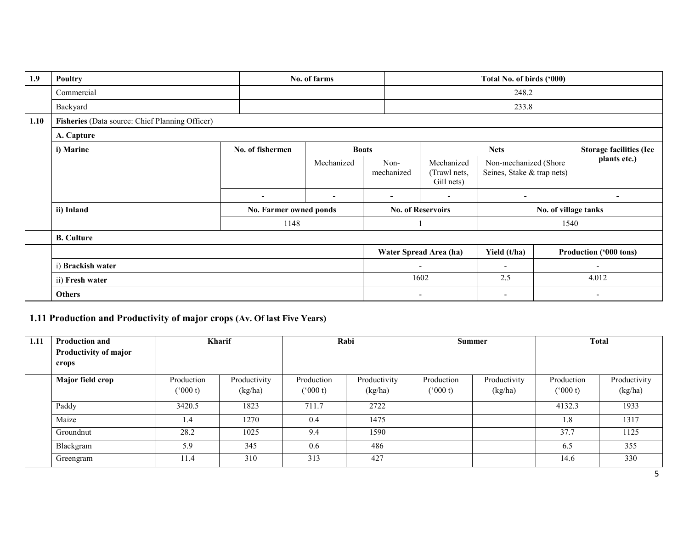| 1.9  | Poultry                                         | No. of farms             |            |                          |                          |                                          | Total No. of birds ('000)                           |  |                                |
|------|-------------------------------------------------|--------------------------|------------|--------------------------|--------------------------|------------------------------------------|-----------------------------------------------------|--|--------------------------------|
|      | Commercial                                      |                          |            |                          |                          |                                          | 248.2                                               |  |                                |
|      | Backyard                                        |                          |            |                          | 233.8                    |                                          |                                                     |  |                                |
| 1.10 | Fisheries (Data source: Chief Planning Officer) |                          |            |                          |                          |                                          |                                                     |  |                                |
|      | A. Capture                                      |                          |            |                          |                          |                                          |                                                     |  |                                |
|      | i) Marine                                       | No. of fishermen         |            | <b>Boats</b>             |                          |                                          | <b>Nets</b>                                         |  | <b>Storage facilities (Ice</b> |
|      |                                                 |                          | Mechanized | Non-<br>mechanized       |                          | Mechanized<br>(Trawl nets,<br>Gill nets) | Non-mechanized (Shore<br>Seines, Stake & trap nets) |  | plants etc.)                   |
|      |                                                 | $\overline{\phantom{0}}$ | $\sim$     | $\overline{\phantom{a}}$ |                          | ۰                                        | $\overline{a}$                                      |  | $\overline{\phantom{0}}$       |
|      | ii) Inland                                      | No. Farmer owned ponds   |            | <b>No. of Reservoirs</b> |                          | No. of village tanks                     |                                                     |  |                                |
|      |                                                 | 1148                     |            |                          |                          |                                          | 1540                                                |  |                                |
|      | <b>B.</b> Culture                               |                          |            |                          |                          |                                          |                                                     |  |                                |
|      |                                                 |                          |            |                          |                          | Water Spread Area (ha)                   | Yield (t/ha)                                        |  | Production ('000 tons)         |
|      | i) Brackish water                               |                          |            |                          | $\overline{\phantom{a}}$ |                                          | $\overline{\phantom{a}}$                            |  | $\overline{\phantom{a}}$       |
|      | ii) Fresh water                                 |                          |            |                          |                          | 1602                                     | 2.5                                                 |  | 4.012                          |
|      | <b>Others</b>                                   |                          |            |                          | $\overline{\phantom{a}}$ |                                          | $\overline{\phantom{a}}$                            |  | $\overline{\phantom{a}}$       |

### 1.11 Production and Productivity of major crops (Av. Of last Five Years)

| 1.11 | Production and        | <b>Kharif</b> |              |               | Rabi         | <b>Summer</b> |              | <b>Total</b> |              |
|------|-----------------------|---------------|--------------|---------------|--------------|---------------|--------------|--------------|--------------|
|      | Productivity of major |               |              |               |              |               |              |              |              |
|      | crops                 |               |              |               |              |               |              |              |              |
|      | Major field crop      | Production    | Productivity | Production    | Productivity | Production    | Productivity | Production   | Productivity |
|      |                       | (000 t)       | (kg/ha)      | $(^{o}000 t)$ | (kg/ha)      | $(^{o}000t)$  | (kg/ha)      | (000 t)      | (kg/ha)      |
|      | Paddy                 | 3420.5        | 1823         | 711.7         | 2722         |               |              | 4132.3       | 1933         |
|      | Maize                 | ı.4           | 1270         | 0.4           | 1475         |               |              | 1.8          | 1317         |
|      | Groundnut             | 28.2          | 1025         | 9.4           | 1590         |               |              | 37.7         | 1125         |
|      | Blackgram             | 5.9           | 345          | 0.6           | 486          |               |              | 6.5          | 355          |
|      | Greengram             | 11.4          | 310          | 313           | 427          |               |              | 14.6         | 330          |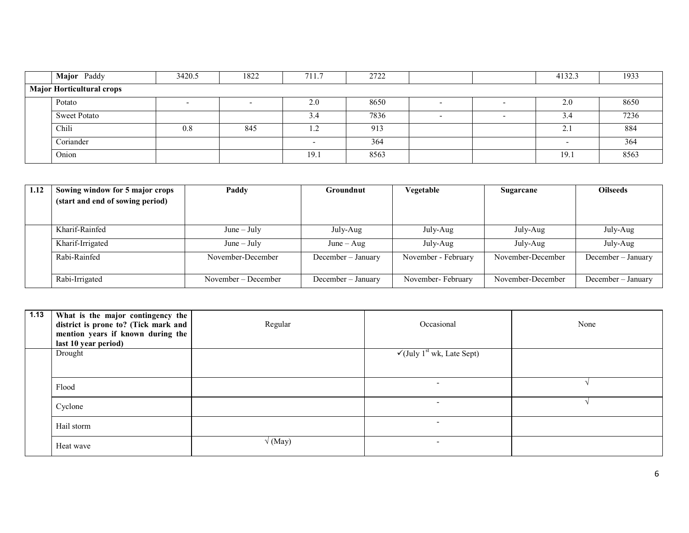| Major Paddy                      | 3420.5 | 1822 | 711.7   | 2722 |  |  | 4132.3            | 1933 |  |  |  |
|----------------------------------|--------|------|---------|------|--|--|-------------------|------|--|--|--|
| <b>Major Horticultural crops</b> |        |      |         |      |  |  |                   |      |  |  |  |
| Potato                           |        |      | 2.0     | 8650 |  |  | 2.0               | 8650 |  |  |  |
| <b>Sweet Potato</b>              |        |      | 3.4     | 7836 |  |  | 3.4               | 7236 |  |  |  |
| Chili                            | 0.8    | 845  | $\cdot$ | 913  |  |  | $\gamma$ 1<br>Z., | 884  |  |  |  |
| Coriander                        |        |      |         | 364  |  |  |                   | 364  |  |  |  |
| Onion                            |        |      | 19.1    | 8563 |  |  | 19.1              | 8563 |  |  |  |

| 1.12 | Sowing window for 5 major crops  | Paddy               | Groundnut          | Vegetable           | Sugarcane         | <b>Oilseeds</b>    |
|------|----------------------------------|---------------------|--------------------|---------------------|-------------------|--------------------|
|      | (start and end of sowing period) |                     |                    |                     |                   |                    |
|      |                                  |                     |                    |                     |                   |                    |
|      | Kharif-Rainfed                   | $June - July$       | July-Aug           | July-Aug            | July-Aug          | July-Aug           |
|      |                                  |                     |                    |                     |                   |                    |
|      | Kharif-Irrigated                 | $June - July$       | $June - Aug$       | July-Aug            | July-Aug          | July-Aug           |
|      | Rabi-Rainfed                     | November-December   | December - January | November - February | November-December | December - January |
|      |                                  |                     |                    |                     |                   |                    |
|      | Rabi-Irrigated                   | November – December | December - January | November-February   | November-December | December – January |

| 1.13 | What is the major contingency the<br>district is prone to? (Tick mark and<br>mention years if known during the<br>last 10 year period) | Regular        | Occasional                                         | None |
|------|----------------------------------------------------------------------------------------------------------------------------------------|----------------|----------------------------------------------------|------|
|      | Drought                                                                                                                                |                | $\sqrt{\text{July } 1^{\text{st}}}$ wk, Late Sept) |      |
|      |                                                                                                                                        |                |                                                    |      |
|      | Flood                                                                                                                                  |                | $\overline{\phantom{0}}$                           |      |
|      | Cyclone                                                                                                                                |                | $\overline{\phantom{0}}$                           |      |
|      | Hail storm                                                                                                                             |                | ۰                                                  |      |
|      | Heat wave                                                                                                                              | $\sqrt{(May)}$ | ۰                                                  |      |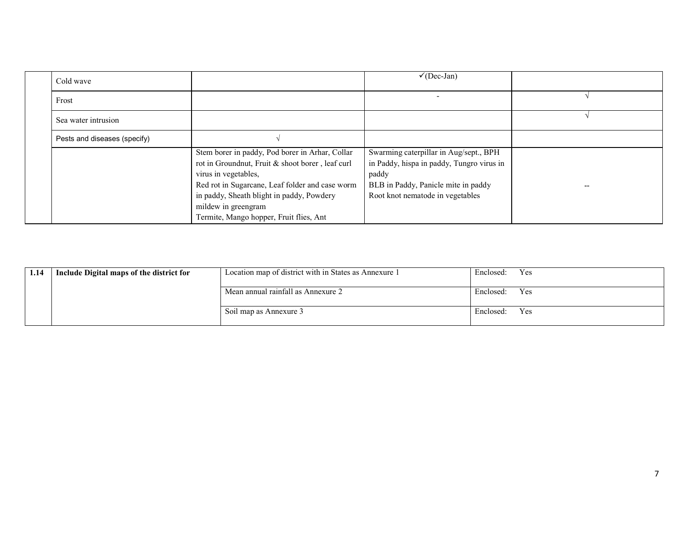| Cold wave                    |                                                  | $\checkmark$ (Dec-Jan)                    |  |
|------------------------------|--------------------------------------------------|-------------------------------------------|--|
| Frost                        |                                                  | $\overline{\phantom{0}}$                  |  |
| Sea water intrusion          |                                                  |                                           |  |
| Pests and diseases (specify) |                                                  |                                           |  |
|                              | Stem borer in paddy, Pod borer in Arhar, Collar  | Swarming caterpillar in Aug/sept., BPH    |  |
|                              | rot in Groundnut, Fruit & shoot borer, leaf curl | in Paddy, hispa in paddy, Tungro virus in |  |
|                              | virus in vegetables,                             | paddy                                     |  |
|                              | Red rot in Sugarcane, Leaf folder and case worm  | BLB in Paddy, Panicle mite in paddy       |  |
|                              | in paddy, Sheath blight in paddy, Powdery        | Root knot nematode in vegetables          |  |
|                              | mildew in greengram                              |                                           |  |
|                              | Termite, Mango hopper, Fruit flies, Ant          |                                           |  |

| 1.14 | Include Digital maps of the district for | Location map of district with in States as Annexure 1<br>Enclosed: |           | Yes |
|------|------------------------------------------|--------------------------------------------------------------------|-----------|-----|
|      |                                          | Mean annual rainfall as Annexure 2                                 | Enclosed: | Yes |
|      |                                          | Soil map as Annexure 3                                             |           | Yes |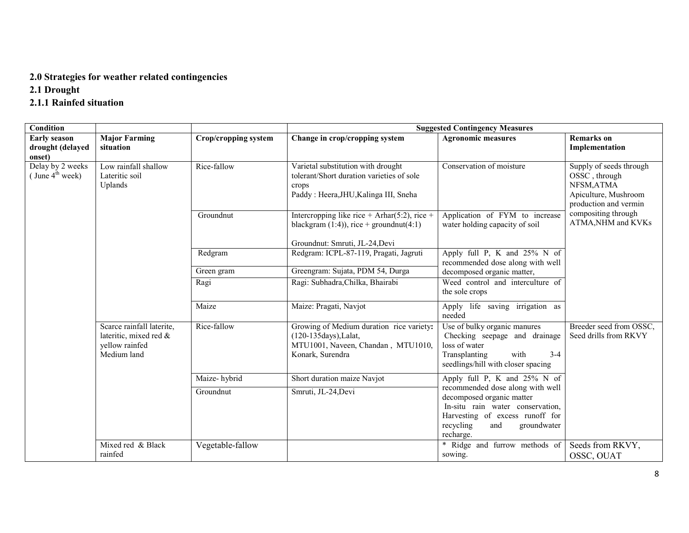#### 2.0 Strategies for weather related contingencies

2.1 Drought

# 2.1.1 Rainfed situation

| <b>Condition</b>                                  |                                                                                      |                      |                                                                                                                                   | <b>Suggested Contingency Measures</b>                                                                                                                                                |                                                                                                         |
|---------------------------------------------------|--------------------------------------------------------------------------------------|----------------------|-----------------------------------------------------------------------------------------------------------------------------------|--------------------------------------------------------------------------------------------------------------------------------------------------------------------------------------|---------------------------------------------------------------------------------------------------------|
| <b>Early season</b><br>drought (delayed<br>onset) | <b>Major Farming</b><br>situation                                                    | Crop/cropping system | Change in crop/cropping system                                                                                                    | <b>Agronomic measures</b>                                                                                                                                                            | <b>Remarks</b> on<br>Implementation                                                                     |
| Delay by 2 weeks<br>June $4^{\text{th}}$ week)    | Low rainfall shallow<br>Lateritic soil<br>Uplands                                    | Rice-fallow          | Varietal substitution with drought<br>tolerant/Short duration varieties of sole<br>crops<br>Paddy: Heera, JHU, Kalinga III, Sneha | Conservation of moisture                                                                                                                                                             | Supply of seeds through<br>OSSC, through<br>NFSM, ATMA<br>Apiculture, Mushroom<br>production and vermin |
|                                                   |                                                                                      | Groundnut            | Intercropping like rice + Arhar(5:2), rice +<br>blackgram $(1:4)$ , rice + groundnut $(4:1)$<br>Groundnut: Smruti, JL-24, Devi    | Application of FYM to increase<br>water holding capacity of soil                                                                                                                     | compositing through<br>ATMA, NHM and KVKs                                                               |
|                                                   |                                                                                      | Redgram              | Redgram: ICPL-87-119, Pragati, Jagruti                                                                                            | Apply full P, K and 25% N of<br>recommended dose along with well                                                                                                                     |                                                                                                         |
|                                                   |                                                                                      | Green gram           | Greengram: Sujata, PDM 54, Durga                                                                                                  | decomposed organic matter,                                                                                                                                                           |                                                                                                         |
|                                                   |                                                                                      | Ragi                 | Ragi: Subhadra, Chilka, Bhairabi                                                                                                  | Weed control and interculture of<br>the sole crops                                                                                                                                   |                                                                                                         |
|                                                   |                                                                                      | Maize                | Maize: Pragati, Navjot                                                                                                            | Apply life saving irrigation as<br>needed                                                                                                                                            |                                                                                                         |
|                                                   | Scarce rainfall laterite,<br>lateritic, mixed red &<br>yellow rainfed<br>Medium land | Rice-fallow          | Growing of Medium duration rice variety:<br>(120-135days), Lalat,<br>MTU1001, Naveen, Chandan, MTU1010,<br>Konark, Surendra       | Use of bulky organic manures<br>Checking seepage and drainage<br>loss of water<br>Transplanting<br>with<br>$3 - 4$<br>seedlings/hill with closer spacing                             | Breeder seed from OSSC,<br>Seed drills from RKVY                                                        |
|                                                   |                                                                                      | Maize-hybrid         | Short duration maize Navjot                                                                                                       | Apply full P, K and $25\%$ N of                                                                                                                                                      |                                                                                                         |
|                                                   |                                                                                      | Groundnut            | Smruti, JL-24, Devi                                                                                                               | recommended dose along with well<br>decomposed organic matter<br>In-situ rain water conservation,<br>Harvesting of excess runoff for<br>recycling<br>groundwater<br>and<br>recharge. |                                                                                                         |
|                                                   | Mixed red & Black<br>rainfed                                                         | Vegetable-fallow     |                                                                                                                                   | * Ridge and furrow methods of<br>sowing.                                                                                                                                             | Seeds from RKVY,<br>OSSC, OUAT                                                                          |
|                                                   |                                                                                      |                      |                                                                                                                                   |                                                                                                                                                                                      |                                                                                                         |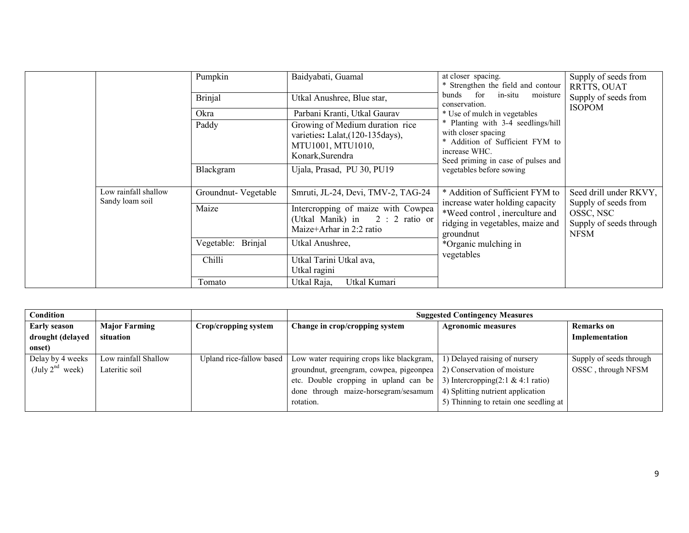|                                         | Pumpkin                      | Baidyabati, Guamal                                                                                            | at closer spacing.<br>* Strengthen the field and contour                                                                                            | Supply of seeds from<br>RRTTS, OUAT                 |
|-----------------------------------------|------------------------------|---------------------------------------------------------------------------------------------------------------|-----------------------------------------------------------------------------------------------------------------------------------------------------|-----------------------------------------------------|
|                                         | <b>Brinjal</b>               | Utkal Anushree, Blue star,                                                                                    | bunds for<br>in-situ moisture<br>conservation.                                                                                                      | Supply of seeds from<br><b>ISOPOM</b>               |
|                                         | Okra                         | Parbani Kranti, Utkal Gaurav                                                                                  | * Use of mulch in vegetables                                                                                                                        |                                                     |
|                                         | Paddy                        | Growing of Medium duration rice<br>varieties: Lalat, (120-135 days),<br>MTU1001, MTU1010,<br>Konark, Surendra | * Planting with 3-4 seedlings/hill<br>with closer spacing<br>* Addition of Sufficient FYM to<br>increase WHC.<br>Seed priming in case of pulses and |                                                     |
|                                         | Blackgram                    | Ujala, Prasad, PU 30, PU19                                                                                    | vegetables before sowing                                                                                                                            |                                                     |
| Low rainfall shallow<br>Sandy loam soil | Groundnut-Vegetable          | Smruti, JL-24, Devi, TMV-2, TAG-24                                                                            | * Addition of Sufficient FYM to<br>increase water holding capacity                                                                                  | Seed drill under RKVY,<br>Supply of seeds from      |
|                                         | Maize                        | Intercropping of maize with Cowpea<br>(Utkal Manik) in 2: 2 ratio or<br>Maize+Arhar in 2:2 ratio              | *Weed control, inerculture and<br>ridging in vegetables, maize and<br>groundnut                                                                     | OSSC, NSC<br>Supply of seeds through<br><b>NFSM</b> |
|                                         | <b>Brinjal</b><br>Vegetable: | Utkal Anushree,                                                                                               | *Organic mulching in                                                                                                                                |                                                     |
|                                         | Chilli                       | Utkal Tarini Utkal ava,<br>Utkal ragini                                                                       | vegetables                                                                                                                                          |                                                     |
|                                         | Tomato                       | Utkal Kumari<br>Utkal Raja,                                                                                   |                                                                                                                                                     |                                                     |

| Condition            |                      |                          | <b>Suggested Contingency Measures</b>                                                 |                                       |                         |  |
|----------------------|----------------------|--------------------------|---------------------------------------------------------------------------------------|---------------------------------------|-------------------------|--|
| <b>Early season</b>  | <b>Major Farming</b> | Crop/cropping system     | Change in crop/cropping system                                                        | <b>Agronomic measures</b>             | <b>Remarks</b> on       |  |
| drought (delayed     | situation            |                          |                                                                                       |                                       | Implementation          |  |
| onset)               |                      |                          |                                                                                       |                                       |                         |  |
| Delay by 4 weeks     | Low rainfall Shallow | Upland rice-fallow based | Low water requiring crops like blackgram,                                             | 1) Delayed raising of nursery         | Supply of seeds through |  |
| (July $2^{nd}$ week) | Lateritic soil       |                          | groundnut, greengram, cowpea, pigeonpea                                               | 2) Conservation of moisture           | OSSC, through NFSM      |  |
|                      |                      |                          | etc. Double cropping in upland can be   3) Intercropping $(2:1 \& 4:1 \text{ ratio})$ |                                       |                         |  |
|                      |                      |                          | done through maize-horsegram/sesamum $\vert$ 4) Splitting nutrient application        |                                       |                         |  |
|                      |                      |                          | rotation.                                                                             | 5) Thinning to retain one seedling at |                         |  |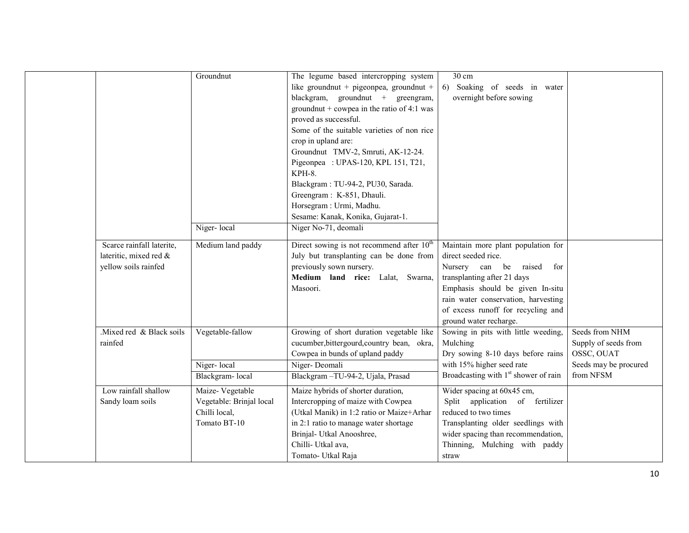| Scarce rainfall laterite,<br>lateritic, mixed red &<br>yellow soils rainfed | Groundnut<br>Niger-local<br>Medium land paddy                                | The legume based intercropping system<br>like groundnut + pigeonpea, groundnut +<br>blackgram, groundnut + greengram,<br>ground nut + cowpea in the ratio of 4:1 was<br>proved as successful.<br>Some of the suitable varieties of non rice<br>crop in upland are:<br>Groundnut TMV-2, Smruti, AK-12-24.<br>Pigeonpea : UPAS-120, KPL 151, T21,<br>KPH-8.<br>Blackgram: TU-94-2, PU30, Sarada.<br>Greengram: K-851, Dhauli.<br>Horsegram : Urmi, Madhu.<br>Sesame: Kanak, Konika, Gujarat-1.<br>Niger No-71, deomali<br>Direct sowing is not recommend after $10^{th}$<br>July but transplanting can be done from<br>previously sown nursery.<br>Medium land rice: Lalat, Swarna,<br>Masoori. | 30 cm<br>6) Soaking of seeds in water<br>overnight before sowing<br>Maintain more plant population for<br>direct seeded rice.<br>Nursery can be raised for<br>transplanting after 21 days<br>Emphasis should be given In-situ<br>rain water conservation, harvesting<br>of excess runoff for recycling and |                                                      |
|-----------------------------------------------------------------------------|------------------------------------------------------------------------------|-----------------------------------------------------------------------------------------------------------------------------------------------------------------------------------------------------------------------------------------------------------------------------------------------------------------------------------------------------------------------------------------------------------------------------------------------------------------------------------------------------------------------------------------------------------------------------------------------------------------------------------------------------------------------------------------------|------------------------------------------------------------------------------------------------------------------------------------------------------------------------------------------------------------------------------------------------------------------------------------------------------------|------------------------------------------------------|
| Mixed red & Black soils<br>rainfed                                          | Vegetable-fallow                                                             | Growing of short duration vegetable like<br>cucumber, bittergourd, country bean, okra,<br>Cowpea in bunds of upland paddy                                                                                                                                                                                                                                                                                                                                                                                                                                                                                                                                                                     | ground water recharge.<br>Sowing in pits with little weeding,<br>Mulching<br>Dry sowing 8-10 days before rains                                                                                                                                                                                             | Seeds from NHM<br>Supply of seeds from<br>OSSC, OUAT |
|                                                                             | Niger-local<br>Blackgram-local                                               | Niger-Deomali<br>Blackgram-TU-94-2, Ujala, Prasad                                                                                                                                                                                                                                                                                                                                                                                                                                                                                                                                                                                                                                             | with 15% higher seed rate<br>Broadcasting with 1 <sup>st</sup> shower of rain                                                                                                                                                                                                                              | Seeds may be procured<br>from NFSM                   |
| Low rainfall shallow<br>Sandy loam soils                                    | Maize-Vegetable<br>Vegetable: Brinjal local<br>Chilli local,<br>Tomato BT-10 | Maize hybrids of shorter duration,<br>Intercropping of maize with Cowpea<br>(Utkal Manik) in 1:2 ratio or Maize+Arhar<br>in 2:1 ratio to manage water shortage<br>Brinjal- Utkal Anooshree,<br>Chilli- Utkal ava,<br>Tomato- Utkal Raja                                                                                                                                                                                                                                                                                                                                                                                                                                                       | Wider spacing at 60x45 cm,<br>Split application of fertilizer<br>reduced to two times<br>Transplanting older seedlings with<br>wider spacing than recommendation,<br>Thinning, Mulching with paddy<br>straw                                                                                                |                                                      |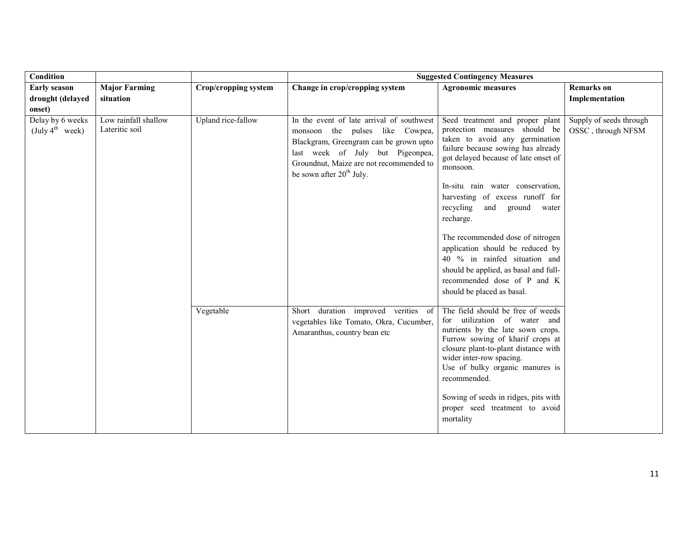| Condition                                       |                                        |                      | <b>Suggested Contingency Measures</b>                                                                                                                                                                                                         |                                                                                                                                                                                                                                                                                                                                                                                                                                                                                                                                     |                                               |  |
|-------------------------------------------------|----------------------------------------|----------------------|-----------------------------------------------------------------------------------------------------------------------------------------------------------------------------------------------------------------------------------------------|-------------------------------------------------------------------------------------------------------------------------------------------------------------------------------------------------------------------------------------------------------------------------------------------------------------------------------------------------------------------------------------------------------------------------------------------------------------------------------------------------------------------------------------|-----------------------------------------------|--|
| <b>Early season</b>                             | <b>Major Farming</b>                   | Crop/cropping system | Change in crop/cropping system                                                                                                                                                                                                                | <b>Agronomic measures</b>                                                                                                                                                                                                                                                                                                                                                                                                                                                                                                           | <b>Remarks</b> on                             |  |
| drought (delayed                                | situation                              |                      |                                                                                                                                                                                                                                               |                                                                                                                                                                                                                                                                                                                                                                                                                                                                                                                                     | Implementation                                |  |
| onset)                                          |                                        |                      |                                                                                                                                                                                                                                               |                                                                                                                                                                                                                                                                                                                                                                                                                                                                                                                                     |                                               |  |
| Delay by 6 weeks<br>(July 4 <sup>th</sup> week) | Low rainfall shallow<br>Lateritic soil | Upland rice-fallow   | In the event of late arrival of southwest<br>monsoon the pulses like Cowpea,<br>Blackgram, Greengram can be grown upto<br>last week of July but Pigeonpea,<br>Groundnut, Maize are not recommended to<br>be sown after 20 <sup>th</sup> July. | Seed treatment and proper plant<br>protection measures should be<br>taken to avoid any germination<br>failure because sowing has already<br>got delayed because of late onset of<br>monsoon.<br>In-situ rain water conservation,<br>harvesting of excess runoff for<br>recycling<br>and ground<br>water<br>recharge.<br>The recommended dose of nitrogen<br>application should be reduced by<br>40 % in rainfed situation and<br>should be applied, as basal and full-<br>recommended dose of P and K<br>should be placed as basal. | Supply of seeds through<br>OSSC, through NFSM |  |
|                                                 |                                        | Vegetable            | Short duration improved verities<br>- of<br>vegetables like Tomato, Okra, Cucumber,<br>Amaranthus, country bean etc                                                                                                                           | The field should be free of weeds<br>for utilization of water and<br>nutrients by the late sown crops.<br>Furrow sowing of kharif crops at<br>closure plant-to-plant distance with<br>wider inter-row spacing.<br>Use of bulky organic manures is<br>recommended.<br>Sowing of seeds in ridges, pits with<br>proper seed treatment to avoid<br>mortality                                                                                                                                                                            |                                               |  |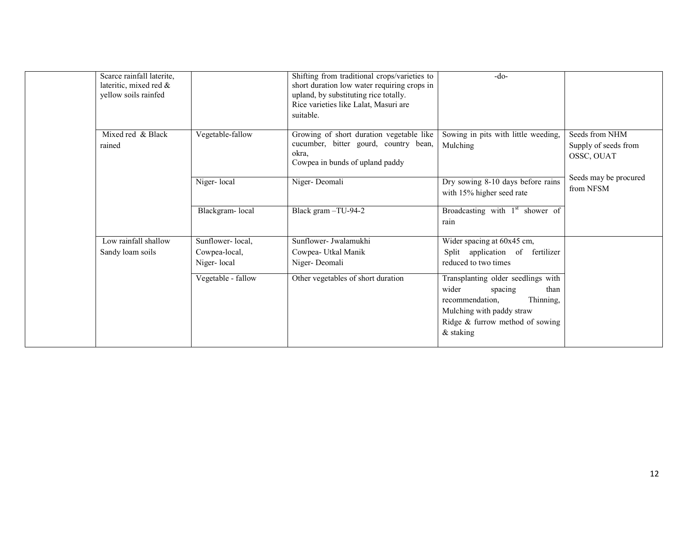| Scarce rainfall laterite,<br>lateritic, mixed red &<br>yellow soils rainfed |                    | Shifting from traditional crops/varieties to<br>short duration low water requiring crops in<br>upland, by substituting rice totally.<br>Rice varieties like Lalat, Masuri are<br>suitable. | $-do-$                                                                                                                                                                        |                                                      |
|-----------------------------------------------------------------------------|--------------------|--------------------------------------------------------------------------------------------------------------------------------------------------------------------------------------------|-------------------------------------------------------------------------------------------------------------------------------------------------------------------------------|------------------------------------------------------|
| Mixed red & Black<br>rained                                                 | Vegetable-fallow   | Growing of short duration vegetable like<br>cucumber, bitter gourd, country bean,<br>okra,<br>Cowpea in bunds of upland paddy                                                              | Sowing in pits with little weeding,<br>Mulching                                                                                                                               | Seeds from NHM<br>Supply of seeds from<br>OSSC, OUAT |
|                                                                             | Niger-local        | Niger-Deomali                                                                                                                                                                              | Dry sowing 8-10 days before rains<br>with 15% higher seed rate                                                                                                                | Seeds may be procured<br>from NFSM                   |
|                                                                             | Blackgram-local    | Black gram -TU-94-2                                                                                                                                                                        | Broadcasting with 1 <sup>st</sup> shower of<br>rain                                                                                                                           |                                                      |
| Low rainfall shallow                                                        | Sunflower-local,   | Sunflower- Jwalamukhi                                                                                                                                                                      | Wider spacing at 60x45 cm,                                                                                                                                                    |                                                      |
| Sandy loam soils                                                            | Cowpea-local,      | Cowpea- Utkal Manik                                                                                                                                                                        | Split application of fertilizer                                                                                                                                               |                                                      |
|                                                                             | Niger-local        | Niger-Deomali                                                                                                                                                                              | reduced to two times                                                                                                                                                          |                                                      |
|                                                                             | Vegetable - fallow | Other vegetables of short duration                                                                                                                                                         | Transplanting older seedlings with<br>wider<br>than<br>spacing<br>Thinning,<br>recommendation,<br>Mulching with paddy straw<br>Ridge & furrow method of sowing<br>$&$ staking |                                                      |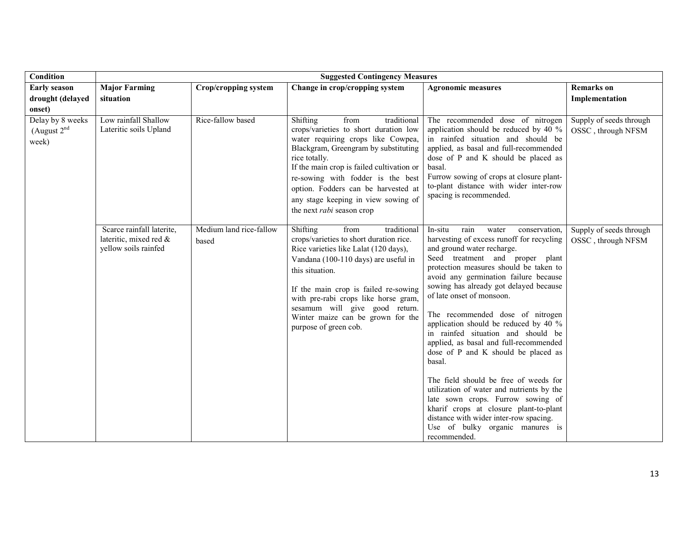| Condition                                            | <b>Suggested Contingency Measures</b>                                       |                                  |                                                                                                                                                                                                                                                                                                                                                                             |                                                                                                                                                                                                                                                                                                                                                                                                                                                                                                                                                                                                                                                                                                                                                                                                   |                                               |
|------------------------------------------------------|-----------------------------------------------------------------------------|----------------------------------|-----------------------------------------------------------------------------------------------------------------------------------------------------------------------------------------------------------------------------------------------------------------------------------------------------------------------------------------------------------------------------|---------------------------------------------------------------------------------------------------------------------------------------------------------------------------------------------------------------------------------------------------------------------------------------------------------------------------------------------------------------------------------------------------------------------------------------------------------------------------------------------------------------------------------------------------------------------------------------------------------------------------------------------------------------------------------------------------------------------------------------------------------------------------------------------------|-----------------------------------------------|
| <b>Early season</b>                                  | <b>Major Farming</b>                                                        | Crop/cropping system             | Change in crop/cropping system                                                                                                                                                                                                                                                                                                                                              | <b>Agronomic measures</b>                                                                                                                                                                                                                                                                                                                                                                                                                                                                                                                                                                                                                                                                                                                                                                         | <b>Remarks</b> on                             |
| drought (delayed                                     | situation                                                                   |                                  |                                                                                                                                                                                                                                                                                                                                                                             |                                                                                                                                                                                                                                                                                                                                                                                                                                                                                                                                                                                                                                                                                                                                                                                                   | Implementation                                |
| onset)<br>Delay by 8 weeks<br>(August $2nd$<br>week) | Low rainfall Shallow<br>Lateritic soils Upland                              | Rice-fallow based                | Shifting<br>traditional<br>from<br>crops/varieties to short duration low<br>water requiring crops like Cowpea,<br>Blackgram, Greengram by substituting<br>rice totally.<br>If the main crop is failed cultivation or<br>re-sowing with fodder is the best<br>option. Fodders can be harvested at<br>any stage keeping in view sowing of<br>the next <i>rabi</i> season crop | The recommended dose of nitrogen<br>application should be reduced by 40 %<br>in rainfed situation and should be<br>applied, as basal and full-recommended<br>dose of P and K should be placed as<br>basal.<br>Furrow sowing of crops at closure plant-<br>to-plant distance with wider inter-row<br>spacing is recommended.                                                                                                                                                                                                                                                                                                                                                                                                                                                                       | Supply of seeds through<br>OSSC, through NFSM |
|                                                      | Scarce rainfall laterite,<br>lateritic, mixed red &<br>yellow soils rainfed | Medium land rice-fallow<br>based | Shifting<br>from<br>traditional<br>crops/varieties to short duration rice.<br>Rice varieties like Lalat (120 days),<br>Vandana (100-110 days) are useful in<br>this situation.<br>If the main crop is failed re-sowing<br>with pre-rabi crops like horse gram,<br>sesamum will give good return.<br>Winter maize can be grown for the<br>purpose of green cob.              | conservation,<br>In-situ<br>rain<br>water<br>harvesting of excess runoff for recycling<br>and ground water recharge.<br>Seed treatment and proper plant<br>protection measures should be taken to<br>avoid any germination failure because<br>sowing has already got delayed because<br>of late onset of monsoon.<br>The recommended dose of nitrogen<br>application should be reduced by 40 %<br>in rainfed situation and should be<br>applied, as basal and full-recommended<br>dose of P and K should be placed as<br>basal.<br>The field should be free of weeds for<br>utilization of water and nutrients by the<br>late sown crops. Furrow sowing of<br>kharif crops at closure plant-to-plant<br>distance with wider inter-row spacing.<br>Use of bulky organic manures is<br>recommended. | Supply of seeds through<br>OSSC, through NFSM |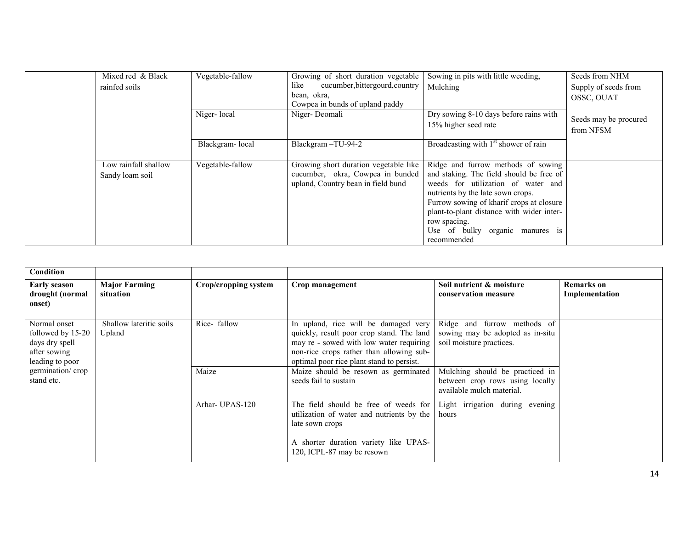|  | Mixed red & Black<br>rainfed soils      | Vegetable-fallow | Growing of short duration vegetable<br>cucumber, bittergourd, country<br>like<br>bean, okra,<br>Cowpea in bunds of upland paddy | Sowing in pits with little weeding,<br>Mulching                                                                                                                                                                                                                                                                      | Seeds from NHM<br>Supply of seeds from<br>OSSC, OUAT |
|--|-----------------------------------------|------------------|---------------------------------------------------------------------------------------------------------------------------------|----------------------------------------------------------------------------------------------------------------------------------------------------------------------------------------------------------------------------------------------------------------------------------------------------------------------|------------------------------------------------------|
|  |                                         | Niger-local      | Niger-Deomali                                                                                                                   | Dry sowing 8-10 days before rains with<br>15% higher seed rate                                                                                                                                                                                                                                                       | Seeds may be procured<br>from NFSM                   |
|  |                                         | Blackgram-local  | Blackgram-TU-94-2                                                                                                               | Broadcasting with 1 <sup>st</sup> shower of rain                                                                                                                                                                                                                                                                     |                                                      |
|  | Low rainfall shallow<br>Sandy loam soil | Vegetable-fallow | Growing short duration vegetable like<br>cucumber, okra, Cowpea in bunded<br>upland, Country bean in field bund                 | Ridge and furrow methods of sowing<br>and staking. The field should be free of<br>weeds for utilization of water and<br>nutrients by the late sown crops.<br>Furrow sowing of kharif crops at closure<br>plant-to-plant distance with wider inter-<br>row spacing.<br>Use of bulky organic manures is<br>recommended |                                                      |

| Condition                                                                              |                                   |                      |                                                                                                                                                                                                                       |                                                                                                 |                                     |
|----------------------------------------------------------------------------------------|-----------------------------------|----------------------|-----------------------------------------------------------------------------------------------------------------------------------------------------------------------------------------------------------------------|-------------------------------------------------------------------------------------------------|-------------------------------------|
| <b>Early season</b><br>drought (normal<br>onset)                                       | <b>Major Farming</b><br>situation | Crop/cropping system | Crop management                                                                                                                                                                                                       | Soil nutrient & moisture<br>conservation measure                                                | <b>Remarks</b> on<br>Implementation |
| Normal onset<br>followed by 15-20<br>days dry spell<br>after sowing<br>leading to poor | Shallow lateritic soils<br>Upland | Rice-fallow          | In upland, rice will be damaged very<br>quickly, result poor crop stand. The land<br>may re - sowed with low water requiring<br>non-rice crops rather than allowing sub-<br>optimal poor rice plant stand to persist. | Ridge and furrow methods of<br>sowing may be adopted as in-situ<br>soil moisture practices.     |                                     |
| germination/crop<br>stand etc.                                                         |                                   | Maize                | Maize should be resown as germinated<br>seeds fail to sustain                                                                                                                                                         | Mulching should be practiced in<br>between crop rows using locally<br>available mulch material. |                                     |
|                                                                                        |                                   | Arhar-UPAS-120       | The field should be free of weeds for<br>utilization of water and nutrients by the<br>late sown crops                                                                                                                 | Light irrigation during evening<br>hours                                                        |                                     |
|                                                                                        |                                   |                      | A shorter duration variety like UPAS-<br>120, ICPL-87 may be resown                                                                                                                                                   |                                                                                                 |                                     |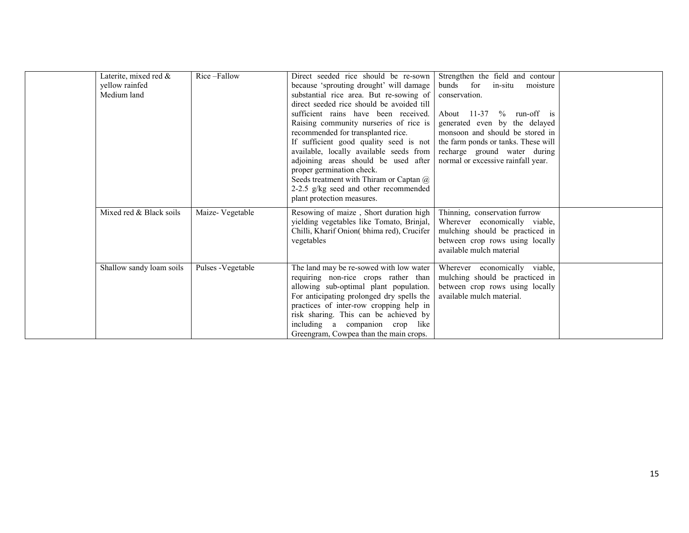|  | Laterite, mixed red &<br>yellow rainfed<br>Medium land | Rice-Fallow        | Direct seeded rice should be re-sown<br>because 'sprouting drought' will damage<br>substantial rice area. But re-sowing of<br>direct seeded rice should be avoided till<br>sufficient rains have been received.<br>Raising community nurseries of rice is<br>recommended for transplanted rice.<br>If sufficient good quality seed is not<br>available, locally available seeds from<br>adjoining areas should be used after<br>proper germination check.<br>Seeds treatment with Thiram or Captan @<br>2-2.5 g/kg seed and other recommended<br>plant protection measures. | Strengthen the field and contour<br>bunds for<br>in-situ<br>moisture<br>conservation.<br>About $11-37$ % run-off is<br>generated even by the delayed<br>monsoon and should be stored in<br>the farm ponds or tanks. These will<br>recharge ground water during<br>normal or excessive rainfall year. |
|--|--------------------------------------------------------|--------------------|-----------------------------------------------------------------------------------------------------------------------------------------------------------------------------------------------------------------------------------------------------------------------------------------------------------------------------------------------------------------------------------------------------------------------------------------------------------------------------------------------------------------------------------------------------------------------------|------------------------------------------------------------------------------------------------------------------------------------------------------------------------------------------------------------------------------------------------------------------------------------------------------|
|  | Mixed red & Black soils                                | Maize-Vegetable    | Resowing of maize, Short duration high<br>yielding vegetables like Tomato, Brinjal,<br>Chilli, Kharif Onion(bhima red), Crucifer<br>vegetables                                                                                                                                                                                                                                                                                                                                                                                                                              | Thinning, conservation furrow<br>Wherever economically viable,<br>mulching should be practiced in<br>between crop rows using locally<br>available mulch material                                                                                                                                     |
|  | Shallow sandy loam soils                               | Pulses - Vegetable | The land may be re-sowed with low water<br>requiring non-rice crops rather than<br>allowing sub-optimal plant population.<br>For anticipating prolonged dry spells the<br>practices of inter-row cropping help in<br>risk sharing. This can be achieved by<br>including a companion crop like<br>Greengram, Cowpea than the main crops.                                                                                                                                                                                                                                     | Wherever economically viable,<br>mulching should be practiced in<br>between crop rows using locally<br>available mulch material.                                                                                                                                                                     |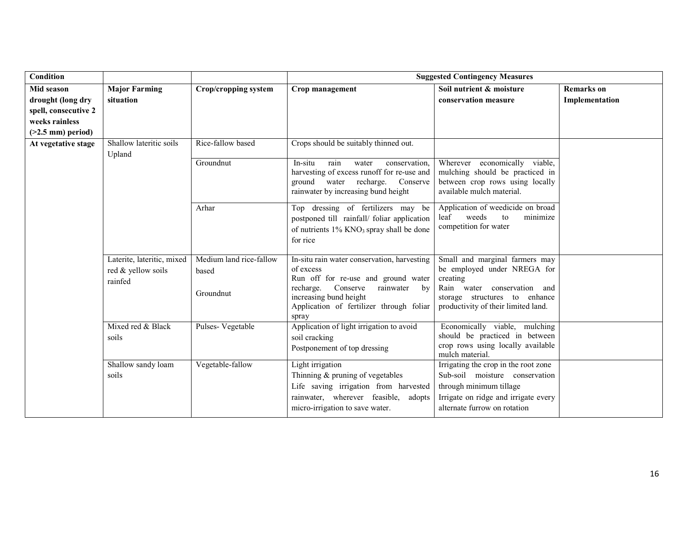| Condition            |                                                             |                                               | <b>Suggested Contingency Measures</b>                                                                                                                                                                                   |                                                                                                                                                                                  |                   |
|----------------------|-------------------------------------------------------------|-----------------------------------------------|-------------------------------------------------------------------------------------------------------------------------------------------------------------------------------------------------------------------------|----------------------------------------------------------------------------------------------------------------------------------------------------------------------------------|-------------------|
| <b>Mid season</b>    | <b>Major Farming</b>                                        | Crop/cropping system                          | Crop management                                                                                                                                                                                                         | Soil nutrient & moisture                                                                                                                                                         | <b>Remarks</b> on |
| drought (long dry    | situation                                                   |                                               |                                                                                                                                                                                                                         | conservation measure                                                                                                                                                             | Implementation    |
| spell, consecutive 2 |                                                             |                                               |                                                                                                                                                                                                                         |                                                                                                                                                                                  |                   |
| weeks rainless       |                                                             |                                               |                                                                                                                                                                                                                         |                                                                                                                                                                                  |                   |
| $($ >2.5 mm) period) |                                                             |                                               |                                                                                                                                                                                                                         |                                                                                                                                                                                  |                   |
| At vegetative stage  | Shallow lateritic soils<br>Upland                           | Rice-fallow based                             | Crops should be suitably thinned out.                                                                                                                                                                                   |                                                                                                                                                                                  |                   |
|                      |                                                             | Groundnut                                     | rain<br>conservation,<br>In-situ<br>water<br>harvesting of excess runoff for re-use and<br>ground<br>water<br>recharge.<br>Conserve<br>rainwater by increasing bund height                                              | Wherever economically viable,<br>mulching should be practiced in<br>between crop rows using locally<br>available mulch material.                                                 |                   |
|                      |                                                             | Arhar                                         | Top dressing of fertilizers may be<br>postponed till rainfall/ foliar application<br>of nutrients $1\%$ KNO <sub>3</sub> spray shall be done<br>for rice                                                                | Application of weedicide on broad<br>leaf<br>weeds<br>minimize<br>to<br>competition for water                                                                                    |                   |
|                      | Laterite, lateritic, mixed<br>red & yellow soils<br>rainfed | Medium land rice-fallow<br>based<br>Groundnut | In-situ rain water conservation, harvesting<br>of excess<br>Run off for re-use and ground water<br>recharge.<br>Conserve<br>rainwater by<br>increasing bund height<br>Application of fertilizer through foliar<br>spray | Small and marginal farmers may<br>be employed under NREGA for<br>creating<br>Rain water conservation and<br>storage structures to enhance<br>productivity of their limited land. |                   |
|                      | Mixed red & Black<br>soils                                  | Pulses-Vegetable                              | Application of light irrigation to avoid<br>soil cracking<br>Postponement of top dressing                                                                                                                               | Economically viable, mulching<br>should be practiced in between<br>crop rows using locally available<br>mulch material.                                                          |                   |
|                      | Shallow sandy loam<br>soils                                 | Vegetable-fallow                              | Light irrigation<br>Thinning $&$ pruning of vegetables<br>Life saving irrigation from harvested<br>rainwater, wherever feasible, adopts<br>micro-irrigation to save water.                                              | Irrigating the crop in the root zone<br>Sub-soil moisture conservation<br>through minimum tillage<br>Irrigate on ridge and irrigate every<br>alternate furrow on rotation        |                   |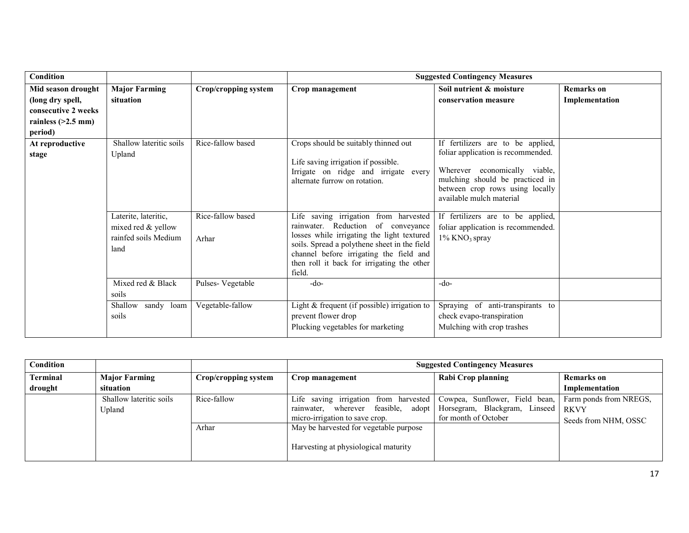| Condition            |                                                    |                      | <b>Suggested Contingency Measures</b>                                                                                                                                                                                               |                                                                                                                                 |                   |  |
|----------------------|----------------------------------------------------|----------------------|-------------------------------------------------------------------------------------------------------------------------------------------------------------------------------------------------------------------------------------|---------------------------------------------------------------------------------------------------------------------------------|-------------------|--|
| Mid season drought   | <b>Major Farming</b>                               | Crop/cropping system | Crop management                                                                                                                                                                                                                     | Soil nutrient & moisture                                                                                                        | <b>Remarks</b> on |  |
| (long dry spell,     | situation                                          |                      |                                                                                                                                                                                                                                     | conservation measure                                                                                                            | Implementation    |  |
| consecutive 2 weeks  |                                                    |                      |                                                                                                                                                                                                                                     |                                                                                                                                 |                   |  |
| rainless $(>2.5$ mm) |                                                    |                      |                                                                                                                                                                                                                                     |                                                                                                                                 |                   |  |
| period)              |                                                    |                      |                                                                                                                                                                                                                                     |                                                                                                                                 |                   |  |
| At reproductive      | Shallow lateritic soils                            | Rice-fallow based    | Crops should be suitably thinned out                                                                                                                                                                                                | If fertilizers are to be applied,                                                                                               |                   |  |
| stage                | Upland                                             |                      |                                                                                                                                                                                                                                     | foliar application is recommended.                                                                                              |                   |  |
|                      |                                                    |                      | Life saving irrigation if possible.<br>Irrigate on ridge and irrigate every<br>alternate furrow on rotation.                                                                                                                        | Wherever economically viable,<br>mulching should be practiced in<br>between crop rows using locally<br>available mulch material |                   |  |
|                      | Laterite, lateritic,                               | Rice-fallow based    | Life saving irrigation from harvested                                                                                                                                                                                               | If fertilizers are to be applied,                                                                                               |                   |  |
|                      | mixed red & yellow<br>rainfed soils Medium<br>land | Arhar                | rainwater. Reduction of conveyance<br>losses while irrigating the light textured<br>soils. Spread a polythene sheet in the field<br>channel before irrigating the field and<br>then roll it back for irrigating the other<br>field. | foliar application is recommended.<br>1% KNO <sub>3</sub> spray                                                                 |                   |  |
|                      | Mixed red & Black                                  | Pulses-Vegetable     | $-do-$                                                                                                                                                                                                                              | -do-                                                                                                                            |                   |  |
|                      | soils                                              |                      |                                                                                                                                                                                                                                     |                                                                                                                                 |                   |  |
|                      | Shallow sandy loam                                 | Vegetable-fallow     | Light $&$ frequent (if possible) irrigation to                                                                                                                                                                                      | Spraying of anti-transpirants to                                                                                                |                   |  |
|                      | soils                                              |                      | prevent flower drop                                                                                                                                                                                                                 | check evapo-transpiration                                                                                                       |                   |  |
|                      |                                                    |                      | Plucking vegetables for marketing                                                                                                                                                                                                   | Mulching with crop trashes                                                                                                      |                   |  |

| Condition |                                   |                      | <b>Suggested Contingency Measures</b>                                                                                                        |                                                             |                                                               |  |
|-----------|-----------------------------------|----------------------|----------------------------------------------------------------------------------------------------------------------------------------------|-------------------------------------------------------------|---------------------------------------------------------------|--|
| Terminal  | <b>Major Farming</b>              | Crop/cropping system | Crop management                                                                                                                              | <b>Rabi Crop planning</b>                                   | <b>Remarks on</b>                                             |  |
| drought   | situation                         |                      |                                                                                                                                              |                                                             | Implementation                                                |  |
|           | Shallow lateritic soils<br>Upland | Rice-fallow          | Life saving irrigation from harvested   Cowpea, Sunflower, Field bean,<br>wherever feasible,<br>rainwater,<br>micro-irrigation to save crop. | adopt Horsegram, Blackgram, Linseed<br>for month of October | Farm ponds from NREGS,<br><b>RKVY</b><br>Seeds from NHM, OSSC |  |
|           |                                   | Arhar                | May be harvested for vegetable purpose<br>Harvesting at physiological maturity                                                               |                                                             |                                                               |  |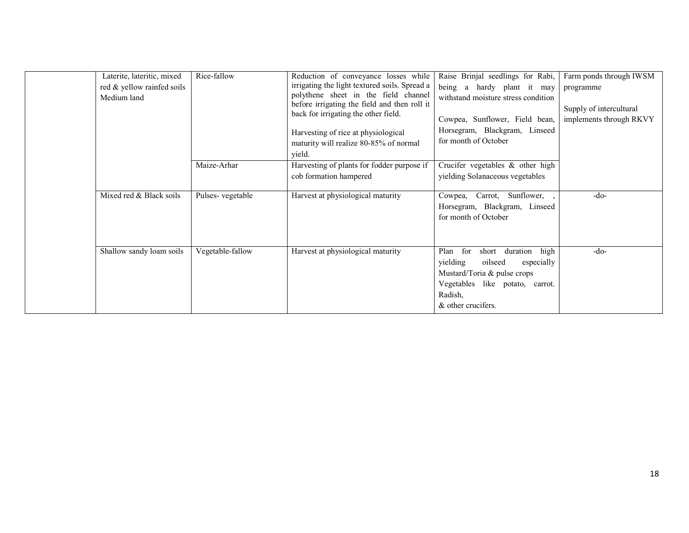| Laterite, lateritic, mixed<br>red & yellow rainfed soils<br>Medium land | Rice-fallow      | Reduction of conveyance losses while<br>irrigating the light textured soils. Spread a<br>polythene sheet in the field channel<br>before irrigating the field and then roll it<br>back for irrigating the other field.<br>Harvesting of rice at physiological<br>maturity will realize 80-85% of normal<br>yield. | Raise Brinjal seedlings for Rabi,<br>being a hardy plant it may<br>withstand moisture stress condition<br>Cowpea, Sunflower, Field bean,<br>Horsegram, Blackgram, Linseed<br>for month of October | Farm ponds through IWSM<br>programme<br>Supply of intercultural<br>implements through RKVY |
|-------------------------------------------------------------------------|------------------|------------------------------------------------------------------------------------------------------------------------------------------------------------------------------------------------------------------------------------------------------------------------------------------------------------------|---------------------------------------------------------------------------------------------------------------------------------------------------------------------------------------------------|--------------------------------------------------------------------------------------------|
|                                                                         | Maize-Arhar      | Harvesting of plants for fodder purpose if<br>cob formation hampered                                                                                                                                                                                                                                             | Crucifer vegetables $\&$ other high<br>yielding Solanaceous vegetables                                                                                                                            |                                                                                            |
| Mixed red & Black soils                                                 | Pulses-vegetable | Harvest at physiological maturity                                                                                                                                                                                                                                                                                | Cowpea, Carrot, Sunflower,<br>Horsegram, Blackgram, Linseed<br>for month of October                                                                                                               | $-do-$                                                                                     |
| Shallow sandy loam soils                                                | Vegetable-fallow | Harvest at physiological maturity                                                                                                                                                                                                                                                                                | high<br>Plan<br>for<br>short<br>duration<br>yielding<br>oilseed<br>especially<br>Mustard/Toria & pulse crops<br>Vegetables like potato, carrot.<br>Radish,<br>& other crucifers.                  | $-do-$                                                                                     |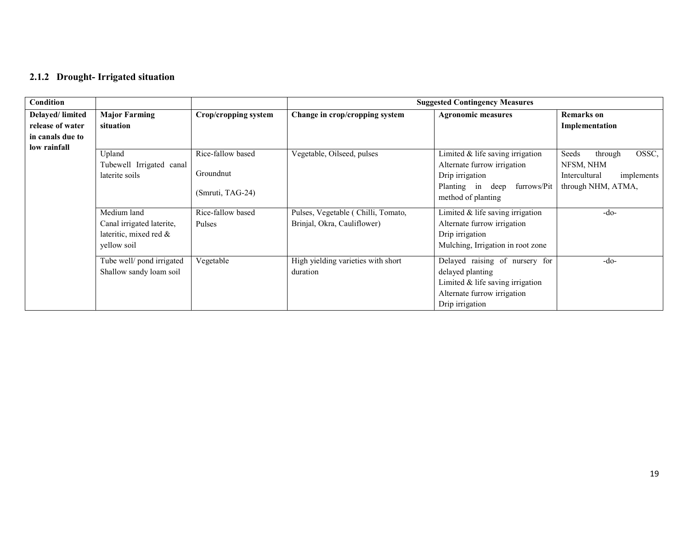### 2.1.2 Drought- Irrigated situation

| <b>Condition</b>                                        |                                                                                                                                              |                                                                                   |                                                                                                 | <b>Suggested Contingency Measures</b>                                                                                                                                                                                                                                   |                                                                                                       |
|---------------------------------------------------------|----------------------------------------------------------------------------------------------------------------------------------------------|-----------------------------------------------------------------------------------|-------------------------------------------------------------------------------------------------|-------------------------------------------------------------------------------------------------------------------------------------------------------------------------------------------------------------------------------------------------------------------------|-------------------------------------------------------------------------------------------------------|
| Delayed/limited<br>release of water<br>in canals due to | <b>Major Farming</b><br>situation                                                                                                            | Crop/cropping system                                                              | Change in crop/cropping system                                                                  | <b>Agronomic measures</b>                                                                                                                                                                                                                                               | <b>Remarks</b> on<br>Implementation                                                                   |
| low rainfall                                            | Upland<br>Tubewell Irrigated canal<br>laterite soils<br>Medium land<br>Canal irrigated laterite,<br>lateritic, mixed red $\&$<br>vellow soil | Rice-fallow based<br>Groundnut<br>(Smruti, TAG-24)<br>Rice-fallow based<br>Pulses | Vegetable, Oilseed, pulses<br>Pulses, Vegetable (Chilli, Tomato,<br>Brinjal, Okra, Cauliflower) | Limited $&$ life saving irrigation<br>Alternate furrow irrigation<br>Drip irrigation<br>Planting in deep furrows/Pit<br>method of planting<br>Limited $&$ life saving irrigation<br>Alternate furrow irrigation<br>Drip irrigation<br>Mulching, Irrigation in root zone | OSSC,<br>Seeds<br>through<br>NFSM, NHM<br>Intercultural<br>implements<br>through NHM, ATMA,<br>$-do-$ |
|                                                         | Tube well/ pond irrigated<br>Shallow sandy loam soil                                                                                         | Vegetable                                                                         | High yielding varieties with short<br>duration                                                  | Delayed raising of nursery for<br>delayed planting<br>Limited & life saving irrigation<br>Alternate furrow irrigation<br>Drip irrigation                                                                                                                                | $-do-$                                                                                                |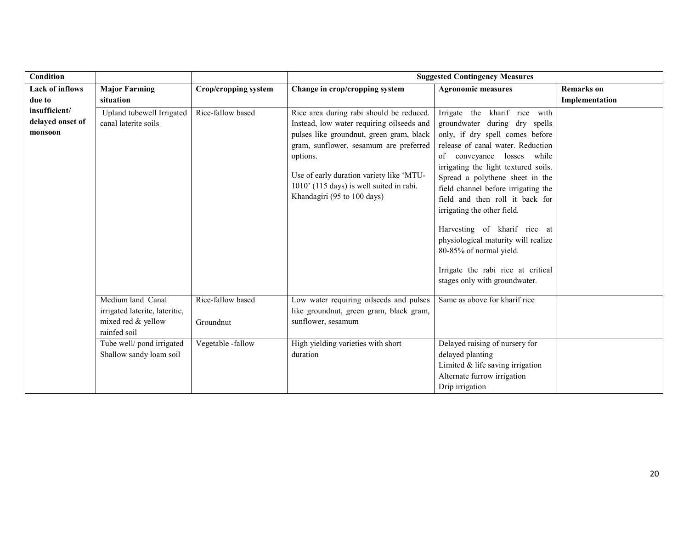| <b>Condition</b>       |                                |                      |                                            | <b>Suggested Contingency Measures</b>                                  |                   |
|------------------------|--------------------------------|----------------------|--------------------------------------------|------------------------------------------------------------------------|-------------------|
| <b>Lack of inflows</b> | <b>Major Farming</b>           | Crop/cropping system | Change in crop/cropping system             | <b>Agronomic measures</b>                                              | <b>Remarks</b> on |
| due to                 | situation                      |                      |                                            |                                                                        | Implementation    |
| insufficient/          | Upland tubewell Irrigated      | Rice-fallow based    | Rice area during rabi should be reduced.   | Irrigate the kharif rice with                                          |                   |
| delayed onset of       | canal laterite soils           |                      | Instead, low water requiring oilseeds and  | groundwater during dry spells                                          |                   |
| monsoon                |                                |                      | pulses like groundnut, green gram, black   | only, if dry spell comes before                                        |                   |
|                        |                                |                      | gram, sunflower, sesamum are preferred     | release of canal water. Reduction                                      |                   |
|                        |                                |                      | options.                                   | of conveyance losses while                                             |                   |
|                        |                                |                      | Use of early duration variety like 'MTU-   | irrigating the light textured soils.                                   |                   |
|                        |                                |                      | $1010'$ (115 days) is well suited in rabi. | Spread a polythene sheet in the                                        |                   |
|                        |                                |                      | Khandagiri (95 to 100 days)                | field channel before irrigating the<br>field and then roll it back for |                   |
|                        |                                |                      |                                            | irrigating the other field.                                            |                   |
|                        |                                |                      |                                            |                                                                        |                   |
|                        |                                |                      |                                            | Harvesting of kharif rice at                                           |                   |
|                        |                                |                      |                                            | physiological maturity will realize                                    |                   |
|                        |                                |                      |                                            | 80-85% of normal yield.                                                |                   |
|                        |                                |                      |                                            |                                                                        |                   |
|                        |                                |                      |                                            | Irrigate the rabi rice at critical<br>stages only with groundwater.    |                   |
|                        |                                |                      |                                            |                                                                        |                   |
|                        | Medium land Canal              | Rice-fallow based    | Low water requiring oilseeds and pulses    | Same as above for kharif rice                                          |                   |
|                        | irrigated laterite, lateritic, |                      | like groundnut, green gram, black gram,    |                                                                        |                   |
|                        | mixed red & yellow             | Groundnut            | sunflower, sesamum                         |                                                                        |                   |
|                        | rainfed soil                   |                      |                                            |                                                                        |                   |
|                        | Tube well/pond irrigated       | Vegetable -fallow    | High yielding varieties with short         | Delayed raising of nursery for                                         |                   |
|                        | Shallow sandy loam soil        |                      | duration                                   | delayed planting                                                       |                   |
|                        |                                |                      |                                            | Limited $&$ life saving irrigation                                     |                   |
|                        |                                |                      |                                            | Alternate furrow irrigation                                            |                   |
|                        |                                |                      |                                            | Drip irrigation                                                        |                   |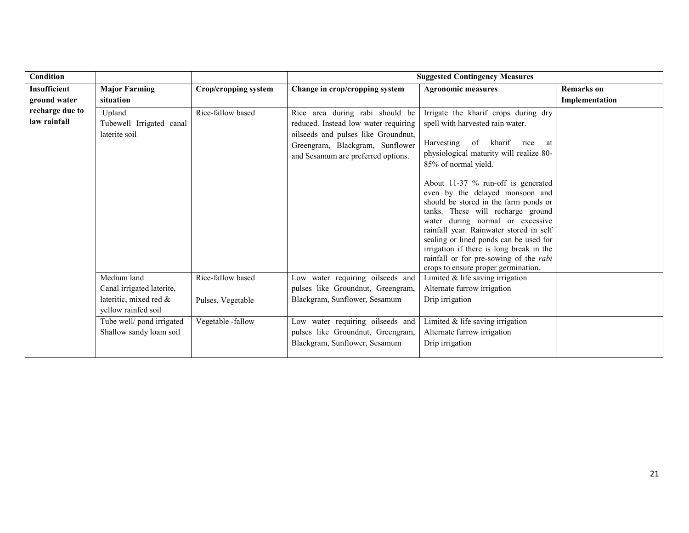| Condition                           |                                                                                           |                                        |                                                                                                                                                                                         | <b>Suggested Contingency Measures</b>                                                                                                                                                                                                                                                                                                                                                                                                                                                                                                                                                       |                                     |
|-------------------------------------|-------------------------------------------------------------------------------------------|----------------------------------------|-----------------------------------------------------------------------------------------------------------------------------------------------------------------------------------------|---------------------------------------------------------------------------------------------------------------------------------------------------------------------------------------------------------------------------------------------------------------------------------------------------------------------------------------------------------------------------------------------------------------------------------------------------------------------------------------------------------------------------------------------------------------------------------------------|-------------------------------------|
| <b>Insufficient</b><br>ground water | <b>Major Farming</b><br>situation                                                         | Crop/cropping system                   | Change in crop/cropping system                                                                                                                                                          | <b>Agronomic measures</b>                                                                                                                                                                                                                                                                                                                                                                                                                                                                                                                                                                   | <b>Remarks</b> on<br>Implementation |
| recharge due to<br>law rainfall     | Upland<br>Tubewell Irrigated canal<br>laterite soil                                       | Rice-fallow based                      | Rice area during rabi should be<br>reduced. Instead low water requiring<br>oilseeds and pulses like Groundnut,<br>Greengram, Blackgram, Sunflower<br>and Sesamum are preferred options. | Irrigate the kharif crops during dry<br>spell with harvested rain water.<br>Harvesting of kharif rice<br>at<br>physiological maturity will realize 80-<br>85% of normal yield.<br>About 11-37 % run-off is generated<br>even by the delayed monsoon and<br>should be stored in the farm ponds or<br>tanks. These will recharge ground<br>water during normal or excessive<br>rainfall year. Rainwater stored in self<br>sealing or lined ponds can be used for<br>irrigation if there is long break in the<br>rainfall or for pre-sowing of the rabi<br>crops to ensure proper germination. |                                     |
|                                     | Medium land<br>Canal irrigated laterite,<br>lateritic, mixed red &<br>yellow rainfed soil | Rice-fallow based<br>Pulses, Vegetable | Low water requiring oilseeds and<br>pulses like Groundnut, Greengram,<br>Blackgram, Sunflower, Sesamum                                                                                  | Limited $&$ life saving irrigation<br>Alternate furrow irrigation<br>Drip irrigation                                                                                                                                                                                                                                                                                                                                                                                                                                                                                                        |                                     |
|                                     | Tube well/ pond irrigated<br>Shallow sandy loam soil                                      | Vegetable -fallow                      | Low water requiring oilseeds and<br>pulses like Groundnut, Greengram,<br>Blackgram, Sunflower, Sesamum                                                                                  | Limited $&$ life saving irrigation<br>Alternate furrow irrigation<br>Drip irrigation                                                                                                                                                                                                                                                                                                                                                                                                                                                                                                        |                                     |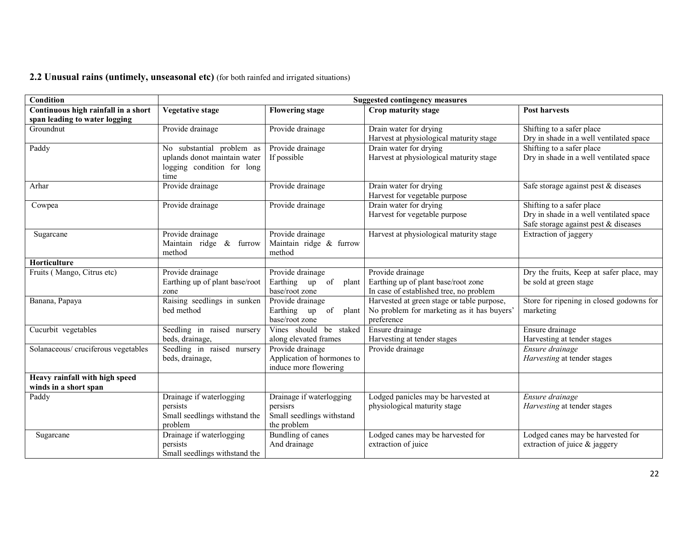#### **2.2 Unusual rains (untimely, unseasonal etc)** (for both rainfed and irrigated situations)

| Condition                           | <b>Suggested contingency measures</b> |                            |                                            |                                          |  |  |
|-------------------------------------|---------------------------------------|----------------------------|--------------------------------------------|------------------------------------------|--|--|
| Continuous high rainfall in a short | Vegetative stage                      | <b>Flowering stage</b>     | Crop maturity stage                        | <b>Post harvests</b>                     |  |  |
| span leading to water logging       |                                       |                            |                                            |                                          |  |  |
| Groundnut                           | Provide drainage                      | Provide drainage           | Drain water for drying                     | Shifting to a safer place                |  |  |
|                                     |                                       |                            | Harvest at physiological maturity stage    | Dry in shade in a well ventilated space  |  |  |
| Paddy                               | No substantial problem as             | Provide drainage           | Drain water for drying                     | Shifting to a safer place                |  |  |
|                                     | uplands donot maintain water          | If possible                | Harvest at physiological maturity stage    | Dry in shade in a well ventilated space  |  |  |
|                                     | logging condition for long            |                            |                                            |                                          |  |  |
|                                     | time                                  |                            |                                            |                                          |  |  |
| Arhar                               | Provide drainage                      | Provide drainage           | Drain water for drying                     | Safe storage against pest & diseases     |  |  |
|                                     |                                       |                            | Harvest for vegetable purpose              |                                          |  |  |
| Cowpea                              | Provide drainage                      | Provide drainage           | Drain water for drying                     | Shifting to a safer place                |  |  |
|                                     |                                       |                            | Harvest for vegetable purpose              | Dry in shade in a well ventilated space  |  |  |
|                                     |                                       |                            |                                            | Safe storage against pest & diseases     |  |  |
| Sugarcane                           | Provide drainage                      | Provide drainage           | Harvest at physiological maturity stage    | Extraction of jaggery                    |  |  |
|                                     | Maintain ridge & furrow               | Maintain ridge & furrow    |                                            |                                          |  |  |
|                                     | method                                | method                     |                                            |                                          |  |  |
| Horticulture                        |                                       |                            |                                            |                                          |  |  |
| Fruits (Mango, Citrus etc)          | Provide drainage                      | Provide drainage           | Provide drainage                           | Dry the fruits, Keep at safer place, may |  |  |
|                                     | Earthing up of plant base/root        | Earthing up of<br>plant    | Earthing up of plant base/root zone        | be sold at green stage                   |  |  |
|                                     | zone                                  | base/root zone             | In case of established tree, no problem    |                                          |  |  |
| Banana, Papaya                      | Raising seedlings in sunken           | Provide drainage           | Harvested at green stage or table purpose, | Store for ripening in closed godowns for |  |  |
|                                     | bed method                            | Earthing up<br>of<br>plant | No problem for marketing as it has buyers' | marketing                                |  |  |
|                                     |                                       | base/root zone             | preference                                 |                                          |  |  |
| Cucurbit vegetables                 | Seedling in raised nursery            | Vines should be staked     | Ensure drainage                            | Ensure drainage                          |  |  |
|                                     | beds, drainage,                       | along elevated frames      | Harvesting at tender stages                | Harvesting at tender stages              |  |  |
| Solanaceous/ cruciferous vegetables | Seedling in raised nursery            | Provide drainage           | Provide drainage                           | Ensure drainage                          |  |  |
|                                     | beds, drainage,                       | Application of hormones to |                                            | Harvesting at tender stages              |  |  |
|                                     |                                       | induce more flowering      |                                            |                                          |  |  |
| Heavy rainfall with high speed      |                                       |                            |                                            |                                          |  |  |
| winds in a short span               |                                       |                            |                                            |                                          |  |  |
| Paddy                               | Drainage if waterlogging              | Drainage if waterlogging   | Lodged panicles may be harvested at        | Ensure drainage                          |  |  |
|                                     | persists                              | persisrs                   | physiological maturity stage               | <i>Harvesting</i> at tender stages       |  |  |
|                                     | Small seedlings withstand the         | Small seedlings withstand  |                                            |                                          |  |  |
|                                     | problem                               | the problem                |                                            |                                          |  |  |
| Sugarcane                           | Drainage if waterlogging              | <b>Bundling of canes</b>   | Lodged canes may be harvested for          | Lodged canes may be harvested for        |  |  |
|                                     | persists                              | And drainage               | extraction of juice                        | extraction of juice $\&$ jaggery         |  |  |
|                                     | Small seedlings withstand the         |                            |                                            |                                          |  |  |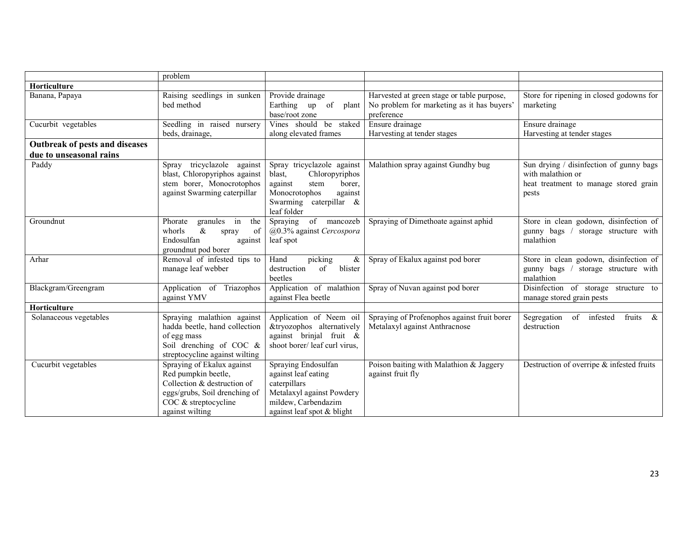|                                | problem                                                                                                                                                      |                                                                                                                                                             |                                                                              |                                                                                                                |
|--------------------------------|--------------------------------------------------------------------------------------------------------------------------------------------------------------|-------------------------------------------------------------------------------------------------------------------------------------------------------------|------------------------------------------------------------------------------|----------------------------------------------------------------------------------------------------------------|
| Horticulture                   |                                                                                                                                                              |                                                                                                                                                             |                                                                              |                                                                                                                |
| Banana, Papaya                 | Raising seedlings in sunken                                                                                                                                  | Provide drainage                                                                                                                                            | Harvested at green stage or table purpose,                                   | Store for ripening in closed godowns for                                                                       |
|                                | bed method                                                                                                                                                   | Earthing up of<br>plant<br>base/root zone                                                                                                                   | No problem for marketing as it has buyers'<br>preference                     | marketing                                                                                                      |
| Cucurbit vegetables            | Seedling in raised nursery                                                                                                                                   | Vines should be staked                                                                                                                                      | Ensure drainage                                                              | Ensure drainage                                                                                                |
|                                | beds, drainage,                                                                                                                                              | along elevated frames                                                                                                                                       | Harvesting at tender stages                                                  | Harvesting at tender stages                                                                                    |
| Outbreak of pests and diseases |                                                                                                                                                              |                                                                                                                                                             |                                                                              |                                                                                                                |
| due to unseasonal rains        |                                                                                                                                                              |                                                                                                                                                             |                                                                              |                                                                                                                |
| Paddy                          | Spray tricyclazole<br>against<br>blast, Chloropyriphos against<br>stem borer, Monocrotophos<br>against Swarming caterpillar                                  | Spray tricyclazole against<br>Chloropyriphos<br>blast,<br>against<br>borer.<br>stem<br>Monocrotophos<br>against<br>Swarming caterpillar $\&$<br>leaf folder | Malathion spray against Gundhy bug                                           | Sun drying / disinfection of gunny bags<br>with malathion or<br>heat treatment to manage stored grain<br>pests |
| Groundnut                      | the<br>Phorate<br>granules in<br>$\&$<br>whorls<br>of<br>spray<br>Endosulfan<br>against<br>groundnut pod borer                                               | Spraying of mancozeb<br>$@0.3\%$ against Cercospora<br>leaf spot                                                                                            | Spraying of Dimethoate against aphid                                         | Store in clean godown, disinfection of<br>gunny bags / storage structure with<br>malathion                     |
| Arhar                          | Removal of infested tips to<br>manage leaf webber                                                                                                            | picking<br>$\&$<br>Hand<br>of<br>blister<br>destruction<br>beetles                                                                                          | Spray of Ekalux against pod borer                                            | Store in clean godown, disinfection of<br>gunny bags / storage structure with<br>malathion                     |
| Blackgram/Greengram            | Application of Triazophos<br>against YMV                                                                                                                     | Application of malathion<br>against Flea beetle                                                                                                             | Spray of Nuvan against pod borer                                             | Disinfection of storage structure to<br>manage stored grain pests                                              |
| Horticulture                   |                                                                                                                                                              |                                                                                                                                                             |                                                                              |                                                                                                                |
| Solanaceous vegetables         | Spraying malathion against<br>hadda beetle, hand collection<br>of egg mass<br>Soil drenching of COC $\&$<br>streptocycline against wilting                   | Application of Neem oil<br>&tryozophos alternatively<br>against brinjal fruit &<br>shoot borer/ leaf curl virus,                                            | Spraying of Profenophos against fruit borer<br>Metalaxyl against Anthracnose | Segregation of infested<br>fruits<br>$\alpha$<br>destruction                                                   |
| Cucurbit vegetables            | Spraying of Ekalux against<br>Red pumpkin beetle,<br>Collection & destruction of<br>eggs/grubs, Soil drenching of<br>COC & streptocycline<br>against wilting | Spraying Endosulfan<br>against leaf eating<br>caterpillars<br>Metalaxyl against Powdery<br>mildew, Carbendazim<br>against leaf spot & blight                | Poison baiting with Malathion & Jaggery<br>against fruit fly                 | Destruction of overripe & infested fruits                                                                      |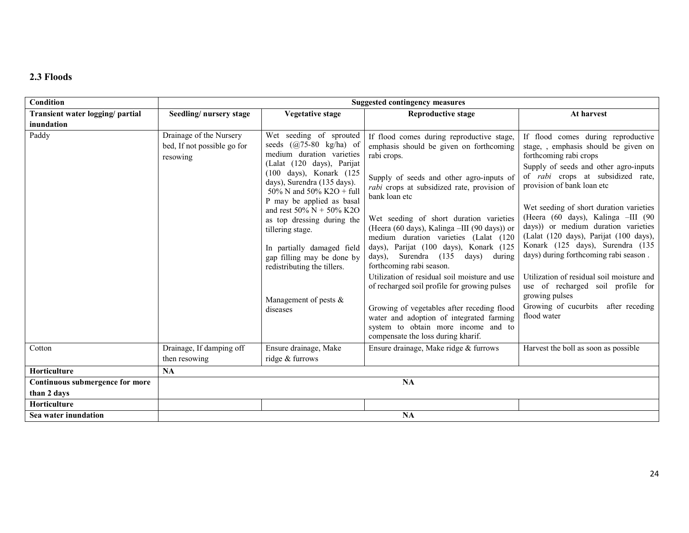## 2.3 Floods

| Condition                        |                                                                    | <b>Suggested contingency measures</b>                                                                                                                                                                                                                                                                                                                                                                                                                         |                                                                                                                                                                                                                                                                                                                                                                                                                                                                                                                                                                                                                                                                                                                                              |                                                                                                                                                                                                                                                                                                                                                                                                                                                                                                                                                                                                                                  |  |  |
|----------------------------------|--------------------------------------------------------------------|---------------------------------------------------------------------------------------------------------------------------------------------------------------------------------------------------------------------------------------------------------------------------------------------------------------------------------------------------------------------------------------------------------------------------------------------------------------|----------------------------------------------------------------------------------------------------------------------------------------------------------------------------------------------------------------------------------------------------------------------------------------------------------------------------------------------------------------------------------------------------------------------------------------------------------------------------------------------------------------------------------------------------------------------------------------------------------------------------------------------------------------------------------------------------------------------------------------------|----------------------------------------------------------------------------------------------------------------------------------------------------------------------------------------------------------------------------------------------------------------------------------------------------------------------------------------------------------------------------------------------------------------------------------------------------------------------------------------------------------------------------------------------------------------------------------------------------------------------------------|--|--|
| Transient water logging/ partial | Seedling/nursery stage                                             | Vegetative stage                                                                                                                                                                                                                                                                                                                                                                                                                                              | <b>Reproductive stage</b>                                                                                                                                                                                                                                                                                                                                                                                                                                                                                                                                                                                                                                                                                                                    | At harvest                                                                                                                                                                                                                                                                                                                                                                                                                                                                                                                                                                                                                       |  |  |
| inundation                       |                                                                    |                                                                                                                                                                                                                                                                                                                                                                                                                                                               |                                                                                                                                                                                                                                                                                                                                                                                                                                                                                                                                                                                                                                                                                                                                              |                                                                                                                                                                                                                                                                                                                                                                                                                                                                                                                                                                                                                                  |  |  |
| Paddy                            | Drainage of the Nursery<br>bed, If not possible go for<br>resowing | Wet seeding of sprouted<br>seeds $(Q75-80 \text{ kg/ha})$ of<br>medium duration varieties<br>(Lalat (120 days), Parijat<br>(100 days), Konark (125<br>days), Surendra (135 days).<br>50% N and 50% K2O + full<br>P may be applied as basal<br>and rest 50% $N + 50%$ K2O<br>as top dressing during the<br>tillering stage.<br>In partially damaged field<br>gap filling may be done by<br>redistributing the tillers.<br>Management of pests $\&$<br>diseases | If flood comes during reproductive stage,<br>emphasis should be given on forthcoming<br>rabi crops.<br>Supply of seeds and other agro-inputs of<br>rabi crops at subsidized rate, provision of<br>bank loan etc<br>Wet seeding of short duration varieties<br>(Heera (60 days), Kalinga -III (90 days)) or<br>medium duration varieties (Lalat (120<br>days), Parijat (100 days), Konark (125<br>Surendra (135<br>days),<br>days) during<br>forthcoming rabi season.<br>Utilization of residual soil moisture and use<br>of recharged soil profile for growing pulses<br>Growing of vegetables after receding flood<br>water and adoption of integrated farming<br>system to obtain more income and to<br>compensate the loss during kharif. | If flood comes during reproductive<br>stage, , emphasis should be given on<br>forthcoming rabi crops<br>Supply of seeds and other agro-inputs<br>of <i>rabi</i> crops at subsidized rate,<br>provision of bank loan etc<br>Wet seeding of short duration varieties<br>(Heera (60 days), Kalinga -III (90<br>days)) or medium duration varieties<br>(Lalat (120 days), Parijat (100 days),<br>Konark (125 days), Surendra (135<br>days) during forthcoming rabi season.<br>Utilization of residual soil moisture and<br>use of recharged soil profile for<br>growing pulses<br>Growing of cucurbits after receding<br>flood water |  |  |
| Cotton                           | Drainage, If damping off<br>then resowing                          | Ensure drainage, Make<br>ridge & furrows                                                                                                                                                                                                                                                                                                                                                                                                                      | Ensure drainage, Make ridge & furrows                                                                                                                                                                                                                                                                                                                                                                                                                                                                                                                                                                                                                                                                                                        | Harvest the boll as soon as possible                                                                                                                                                                                                                                                                                                                                                                                                                                                                                                                                                                                             |  |  |
| Horticulture                     | NA                                                                 |                                                                                                                                                                                                                                                                                                                                                                                                                                                               |                                                                                                                                                                                                                                                                                                                                                                                                                                                                                                                                                                                                                                                                                                                                              |                                                                                                                                                                                                                                                                                                                                                                                                                                                                                                                                                                                                                                  |  |  |
| Continuous submergence for more  |                                                                    |                                                                                                                                                                                                                                                                                                                                                                                                                                                               | <b>NA</b>                                                                                                                                                                                                                                                                                                                                                                                                                                                                                                                                                                                                                                                                                                                                    |                                                                                                                                                                                                                                                                                                                                                                                                                                                                                                                                                                                                                                  |  |  |
| than 2 days                      |                                                                    |                                                                                                                                                                                                                                                                                                                                                                                                                                                               |                                                                                                                                                                                                                                                                                                                                                                                                                                                                                                                                                                                                                                                                                                                                              |                                                                                                                                                                                                                                                                                                                                                                                                                                                                                                                                                                                                                                  |  |  |
| Horticulture                     |                                                                    |                                                                                                                                                                                                                                                                                                                                                                                                                                                               |                                                                                                                                                                                                                                                                                                                                                                                                                                                                                                                                                                                                                                                                                                                                              |                                                                                                                                                                                                                                                                                                                                                                                                                                                                                                                                                                                                                                  |  |  |
| Sea water inundation             |                                                                    |                                                                                                                                                                                                                                                                                                                                                                                                                                                               | NA                                                                                                                                                                                                                                                                                                                                                                                                                                                                                                                                                                                                                                                                                                                                           |                                                                                                                                                                                                                                                                                                                                                                                                                                                                                                                                                                                                                                  |  |  |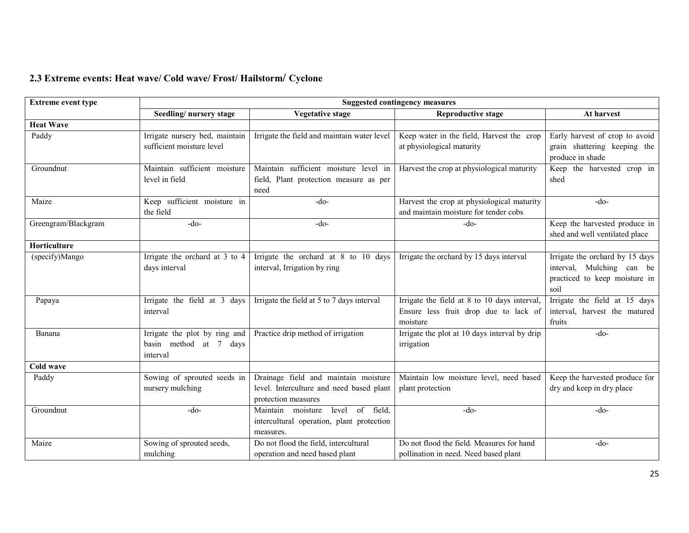### 2.3 Extreme events: Heat wave/ Cold wave/ Frost/ Hailstorm/ Cyclone

| <b>Extreme event type</b> | <b>Suggested contingency measures</b>                               |                                                                                                         |                                                                                                   |                                                                                                       |  |  |  |  |  |
|---------------------------|---------------------------------------------------------------------|---------------------------------------------------------------------------------------------------------|---------------------------------------------------------------------------------------------------|-------------------------------------------------------------------------------------------------------|--|--|--|--|--|
|                           | Seedling/nursery stage                                              | <b>Vegetative stage</b>                                                                                 | <b>Reproductive stage</b>                                                                         | At harvest                                                                                            |  |  |  |  |  |
| <b>Heat Wave</b>          |                                                                     |                                                                                                         |                                                                                                   |                                                                                                       |  |  |  |  |  |
| Paddy                     | Irrigate nursery bed, maintain<br>sufficient moisture level         | Irrigate the field and maintain water level                                                             | Keep water in the field, Harvest the crop<br>at physiological maturity                            | Early harvest of crop to avoid<br>grain shattering keeping the<br>produce in shade                    |  |  |  |  |  |
| Groundnut                 | Maintain sufficient moisture<br>level in field                      | Maintain sufficient moisture level in<br>field, Plant protection measure as per<br>need                 | Harvest the crop at physiological maturity                                                        | Keep the harvested crop in<br>shed                                                                    |  |  |  |  |  |
| Maize                     | Keep sufficient moisture in<br>the field                            | $-do-$                                                                                                  | Harvest the crop at physiological maturity<br>and maintain moisture for tender cobs               | $-do-$                                                                                                |  |  |  |  |  |
| Greengram/Blackgram       | $-do-$                                                              | -do-                                                                                                    | $-do-$                                                                                            | Keep the harvested produce in<br>shed and well ventilated place                                       |  |  |  |  |  |
| Horticulture              |                                                                     |                                                                                                         |                                                                                                   |                                                                                                       |  |  |  |  |  |
| (specify)Mango            | Irrigate the orchard at 3 to 4<br>days interval                     | Irrigate the orchard at 8 to 10 days<br>interval, Irrigation by ring                                    | Irrigate the orchard by 15 days interval                                                          | Irrigate the orchard by 15 days<br>interval, Mulching can be<br>practiced to keep moisture in<br>soil |  |  |  |  |  |
| Papaya                    | Irrigate the field at 3 days<br>interval                            | Irrigate the field at 5 to 7 days interval                                                              | Irrigate the field at 8 to 10 days interval,<br>Ensure less fruit drop due to lack of<br>moisture | Irrigate the field at 15 days<br>interval, harvest the matured<br>fruits                              |  |  |  |  |  |
| Banana                    | Irrigate the plot by ring and<br>basin method at 7 days<br>interval | Practice drip method of irrigation                                                                      | Irrigate the plot at 10 days interval by drip<br>irrigation                                       | $-do-$                                                                                                |  |  |  |  |  |
| Cold wave                 |                                                                     |                                                                                                         |                                                                                                   |                                                                                                       |  |  |  |  |  |
| Paddy                     | Sowing of sprouted seeds in<br>nursery mulching                     | Drainage field and maintain moisture<br>level. Interculture and need based plant<br>protection measures | Maintain low moisture level, need based<br>plant protection                                       | Keep the harvested produce for<br>dry and keep in dry place                                           |  |  |  |  |  |
| Groundnut                 | $-do-$                                                              | of field,<br>Maintain moisture<br>level<br>intercultural operation, plant protection<br>measures.       | $-do-$                                                                                            | $-do-$                                                                                                |  |  |  |  |  |
| Maize                     | Sowing of sprouted seeds,<br>mulching                               | Do not flood the field, intercultural<br>operation and need based plant                                 | Do not flood the field. Measures for hand<br>pollination in need. Need based plant                | $-do-$                                                                                                |  |  |  |  |  |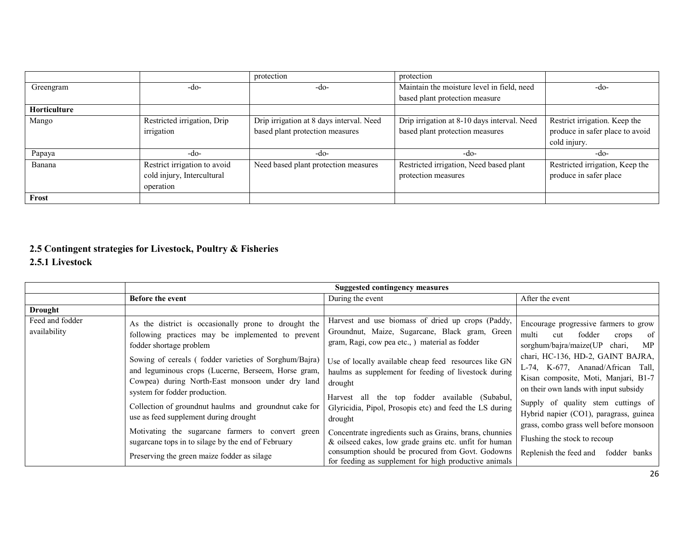|              |                              | protection                               | protection                                  |                                 |
|--------------|------------------------------|------------------------------------------|---------------------------------------------|---------------------------------|
| Greengram    | -do-                         | $-dO$                                    | Maintain the moisture level in field, need  | $-do-$                          |
|              |                              |                                          | based plant protection measure              |                                 |
| Horticulture |                              |                                          |                                             |                                 |
| Mango        | Restricted irrigation, Drip  | Drip irrigation at 8 days interval. Need | Drip irrigation at 8-10 days interval. Need | Restrict irrigation. Keep the   |
|              | irrigation                   | based plant protection measures          | based plant protection measures             | produce in safer place to avoid |
|              |                              |                                          |                                             | cold injury.                    |
| Papaya       | -do-                         | -do-                                     | -do-                                        | -do-                            |
| Banana       | Restrict irrigation to avoid | Need based plant protection measures     | Restricted irrigation, Need based plant     | Restricted irrigation, Keep the |
|              | cold injury, Intercultural   |                                          | protection measures                         | produce in safer place          |
|              | operation                    |                                          |                                             |                                 |
| Frost        |                              |                                          |                                             |                                 |

#### 2.5 Contingent strategies for Livestock, Poultry & Fisheries 2.5.1 Livestock

|                                 |                                                                                                                                                                                                                                                                                                                                                                                                                                                                                                                                                                                                         | <b>Suggested contingency measures</b>                                                                                                                                                                                                                                                                                                                                                                                                                                                                                                                                                                                                        |                                                                                                                                                                                                                                                                                                                                                                                                                                                                                        |
|---------------------------------|---------------------------------------------------------------------------------------------------------------------------------------------------------------------------------------------------------------------------------------------------------------------------------------------------------------------------------------------------------------------------------------------------------------------------------------------------------------------------------------------------------------------------------------------------------------------------------------------------------|----------------------------------------------------------------------------------------------------------------------------------------------------------------------------------------------------------------------------------------------------------------------------------------------------------------------------------------------------------------------------------------------------------------------------------------------------------------------------------------------------------------------------------------------------------------------------------------------------------------------------------------------|----------------------------------------------------------------------------------------------------------------------------------------------------------------------------------------------------------------------------------------------------------------------------------------------------------------------------------------------------------------------------------------------------------------------------------------------------------------------------------------|
|                                 | <b>Before the event</b>                                                                                                                                                                                                                                                                                                                                                                                                                                                                                                                                                                                 | During the event                                                                                                                                                                                                                                                                                                                                                                                                                                                                                                                                                                                                                             | After the event                                                                                                                                                                                                                                                                                                                                                                                                                                                                        |
| <b>Drought</b>                  |                                                                                                                                                                                                                                                                                                                                                                                                                                                                                                                                                                                                         |                                                                                                                                                                                                                                                                                                                                                                                                                                                                                                                                                                                                                                              |                                                                                                                                                                                                                                                                                                                                                                                                                                                                                        |
| Feed and fodder<br>availability | As the district is occasionally prone to drought the<br>following practices may be implemented to prevent<br>fodder shortage problem<br>Sowing of cereals (fodder varieties of Sorghum/Bajra)<br>and leguminous crops (Lucerne, Berseem, Horse gram,<br>Cowpea) during North-East monsoon under dry land<br>system for fodder production.<br>Collection of ground nut haulms and ground nut cake for<br>use as feed supplement during drought<br>Motivating the sugarcane farmers to convert green<br>sugarcane tops in to silage by the end of February<br>Preserving the green maize fodder as silage | Harvest and use biomass of dried up crops (Paddy,<br>Groundnut, Maize, Sugarcane, Black gram, Green<br>gram, Ragi, cow pea etc., ) material as fodder<br>Use of locally available cheap feed resources like GN<br>haulms as supplement for feeding of livestock during<br>drought<br>Harvest all the top fodder available (Subabul,<br>Glyricidia, Pipol, Prosopis etc) and feed the LS during<br>drought<br>Concentrate ingredients such as Grains, brans, chunnies<br>& oilseed cakes, low grade grains etc. unfit for human<br>consumption should be procured from Govt. Godowns<br>for feeding as supplement for high productive animals | Encourage progressive farmers to grow<br>multi<br>fodder<br>of 1<br>cut<br>crops<br>sorghum/bajra/maize(UP chari,<br>MP<br>chari, HC-136, HD-2, GAINT BAJRA,<br>L-74, K-677, Ananad/African Tall,<br>Kisan composite, Moti, Manjari, B1-7<br>on their own lands with input subsidy<br>Supply of quality stem cuttings of<br>Hybrid napier (CO1), paragrass, guinea<br>grass, combo grass well before monsoon<br>Flushing the stock to recoup<br>Replenish the feed and<br>fodder banks |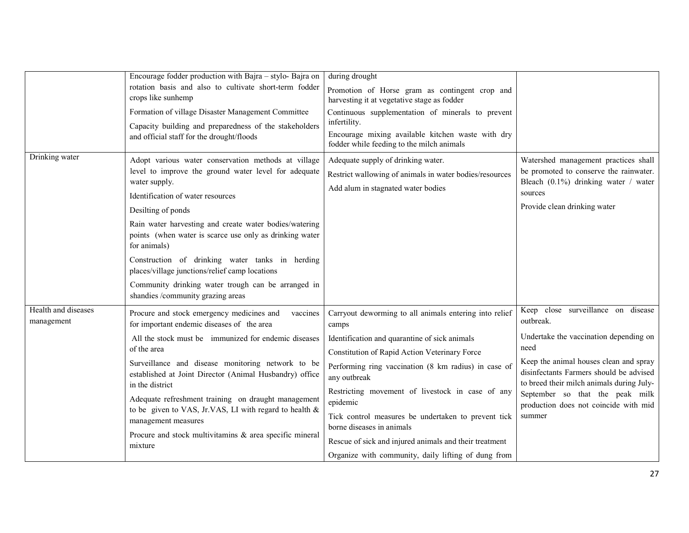| Drinking water                    | Encourage fodder production with Bajra – stylo- Bajra on<br>rotation basis and also to cultivate short-term fodder<br>crops like sunhemp<br>Formation of village Disaster Management Committee<br>Capacity building and preparedness of the stakeholders<br>and official staff for the drought/floods<br>Adopt various water conservation methods at village                                                                                                                                                                | during drought<br>Promotion of Horse gram as contingent crop and<br>harvesting it at vegetative stage as fodder<br>Continuous supplementation of minerals to prevent<br>infertility.<br>Encourage mixing available kitchen waste with dry<br>fodder while feeding to the milch animals<br>Adequate supply of drinking water.                                                                                                                                                                                   | Watershed management practices shall                                                                                                                                                                                                                                                                                      |
|-----------------------------------|-----------------------------------------------------------------------------------------------------------------------------------------------------------------------------------------------------------------------------------------------------------------------------------------------------------------------------------------------------------------------------------------------------------------------------------------------------------------------------------------------------------------------------|----------------------------------------------------------------------------------------------------------------------------------------------------------------------------------------------------------------------------------------------------------------------------------------------------------------------------------------------------------------------------------------------------------------------------------------------------------------------------------------------------------------|---------------------------------------------------------------------------------------------------------------------------------------------------------------------------------------------------------------------------------------------------------------------------------------------------------------------------|
|                                   | level to improve the ground water level for adequate<br>water supply.<br>Identification of water resources<br>Desilting of ponds<br>Rain water harvesting and create water bodies/watering<br>points (when water is scarce use only as drinking water<br>for animals)<br>Construction of drinking water tanks in herding<br>places/village junctions/relief camp locations<br>Community drinking water trough can be arranged in<br>shandies /community grazing areas                                                       | Restrict wallowing of animals in water bodies/resources<br>Add alum in stagnated water bodies                                                                                                                                                                                                                                                                                                                                                                                                                  | be promoted to conserve the rainwater.<br>Bleach $(0.1\%)$ drinking water / water<br>sources<br>Provide clean drinking water                                                                                                                                                                                              |
| Health and diseases<br>management | Procure and stock emergency medicines and<br>vaccines<br>for important endemic diseases of the area<br>All the stock must be immunized for endemic diseases<br>of the area<br>Surveillance and disease monitoring network to be<br>established at Joint Director (Animal Husbandry) office<br>in the district<br>Adequate refreshment training on draught management<br>to be given to VAS, Jr.VAS, LI with regard to health &<br>management measures<br>Procure and stock multivitamins & area specific mineral<br>mixture | Carryout deworming to all animals entering into relief<br>camps<br>Identification and quarantine of sick animals<br>Constitution of Rapid Action Veterinary Force<br>Performing ring vaccination (8 km radius) in case of<br>any outbreak<br>Restricting movement of livestock in case of any<br>epidemic<br>Tick control measures be undertaken to prevent tick<br>borne diseases in animals<br>Rescue of sick and injured animals and their treatment<br>Organize with community, daily lifting of dung from | Keep close surveillance on disease<br>outbreak.<br>Undertake the vaccination depending on<br>need<br>Keep the animal houses clean and spray<br>disinfectants Farmers should be advised<br>to breed their milch animals during July-<br>September so that the peak milk<br>production does not coincide with mid<br>summer |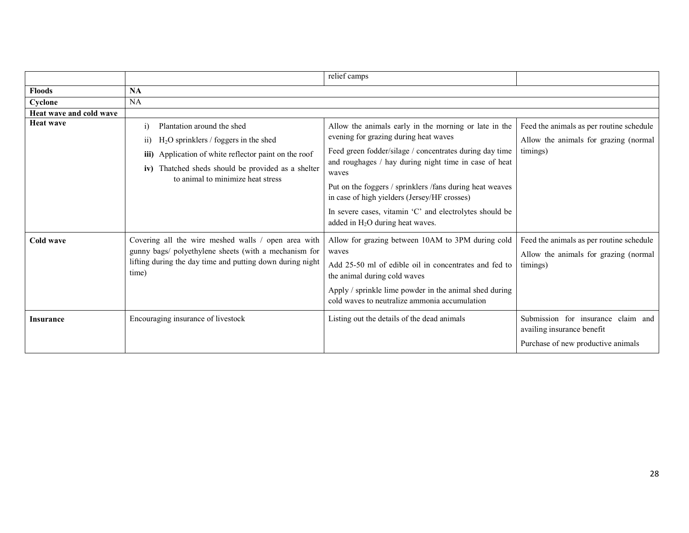|                         |                                                                                         | relief camps                                                                                             |                                                                  |  |
|-------------------------|-----------------------------------------------------------------------------------------|----------------------------------------------------------------------------------------------------------|------------------------------------------------------------------|--|
| <b>Floods</b>           | <b>NA</b>                                                                               |                                                                                                          |                                                                  |  |
| Cyclone                 | NA                                                                                      |                                                                                                          |                                                                  |  |
| Heat wave and cold wave |                                                                                         |                                                                                                          |                                                                  |  |
| <b>Heat wave</b>        | Plantation around the shed<br>1)                                                        | Allow the animals early in the morning or late in the                                                    | Feed the animals as per routine schedule                         |  |
|                         | $H2O$ sprinklers / foggers in the shed<br>11)                                           | evening for grazing during heat waves                                                                    | Allow the animals for grazing (normal                            |  |
|                         | Application of white reflector paint on the roof<br>iii)                                | Feed green fodder/silage / concentrates during day time                                                  | timings)                                                         |  |
|                         | iv) Thatched sheds should be provided as a shelter<br>to animal to minimize heat stress | and roughages / hay during night time in case of heat<br>waves                                           |                                                                  |  |
|                         |                                                                                         | Put on the foggers / sprinklers /fans during heat weaves<br>in case of high yielders (Jersey/HF crosses) |                                                                  |  |
|                         |                                                                                         | In severe cases, vitamin 'C' and electrolytes should be<br>added in $H_2O$ during heat waves.            |                                                                  |  |
| <b>Cold wave</b>        | Covering all the wire meshed walls / open area with                                     | Allow for grazing between 10AM to 3PM during cold                                                        | Feed the animals as per routine schedule                         |  |
|                         | gunny bags/ polyethylene sheets (with a mechanism for                                   | waves                                                                                                    | Allow the animals for grazing (normal                            |  |
|                         | lifting during the day time and putting down during night<br>time)                      | Add 25-50 ml of edible oil in concentrates and fed to<br>the animal during cold waves                    | timings)                                                         |  |
|                         |                                                                                         | Apply / sprinkle lime powder in the animal shed during<br>cold waves to neutralize ammonia accumulation  |                                                                  |  |
| <b>Insurance</b>        | Encouraging insurance of livestock                                                      | Listing out the details of the dead animals                                                              | Submission for insurance claim and<br>availing insurance benefit |  |
|                         |                                                                                         |                                                                                                          | Purchase of new productive animals                               |  |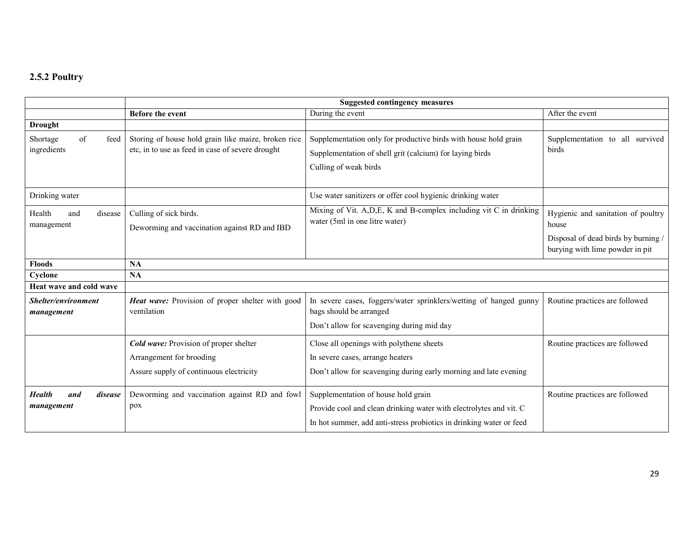### 2.5.2 Poultry

|                                        | <b>Suggested contingency measures</b>                                                                                |                                                                                                                                                                                  |                                                                                                                       |  |  |  |  |  |
|----------------------------------------|----------------------------------------------------------------------------------------------------------------------|----------------------------------------------------------------------------------------------------------------------------------------------------------------------------------|-----------------------------------------------------------------------------------------------------------------------|--|--|--|--|--|
|                                        | <b>Before the event</b>                                                                                              | During the event                                                                                                                                                                 | After the event                                                                                                       |  |  |  |  |  |
| <b>Drought</b>                         |                                                                                                                      |                                                                                                                                                                                  |                                                                                                                       |  |  |  |  |  |
| of<br>Shortage<br>feed<br>ingredients  | Storing of house hold grain like maize, broken rice<br>etc, in to use as feed in case of severe drought              | Supplementation only for productive birds with house hold grain<br>Supplementation of shell grit (calcium) for laying birds<br>Culling of weak birds                             | Supplementation to all survived<br>birds                                                                              |  |  |  |  |  |
| Drinking water                         |                                                                                                                      | Use water sanitizers or offer cool hygienic drinking water                                                                                                                       |                                                                                                                       |  |  |  |  |  |
| Health<br>and<br>disease<br>management | Culling of sick birds.<br>Deworming and vaccination against RD and IBD                                               | Mixing of Vit. A, D, E, K and B-complex including vit C in drinking<br>water (5ml in one litre water)                                                                            | Hygienic and sanitation of poultry<br>house<br>Disposal of dead birds by burning /<br>burying with lime powder in pit |  |  |  |  |  |
| <b>Floods</b>                          | <b>NA</b>                                                                                                            |                                                                                                                                                                                  |                                                                                                                       |  |  |  |  |  |
| Cyclone                                | NA                                                                                                                   |                                                                                                                                                                                  |                                                                                                                       |  |  |  |  |  |
| Heat wave and cold wave                |                                                                                                                      |                                                                                                                                                                                  |                                                                                                                       |  |  |  |  |  |
| Shelter/environment<br>management      | Heat wave: Provision of proper shelter with good<br>ventilation                                                      | In severe cases, foggers/water sprinklers/wetting of hanged gunny<br>bags should be arranged<br>Don't allow for scavenging during mid day                                        | Routine practices are followed                                                                                        |  |  |  |  |  |
|                                        | <b>Cold wave:</b> Provision of proper shelter<br>Arrangement for brooding<br>Assure supply of continuous electricity | Close all openings with polythene sheets<br>In severe cases, arrange heaters<br>Don't allow for scavenging during early morning and late evening                                 | Routine practices are followed                                                                                        |  |  |  |  |  |
| Health<br>disease<br>and<br>management | Deworming and vaccination against RD and fowl<br>pox                                                                 | Supplementation of house hold grain<br>Provide cool and clean drinking water with electrolytes and vit. C<br>In hot summer, add anti-stress probiotics in drinking water or feed | Routine practices are followed                                                                                        |  |  |  |  |  |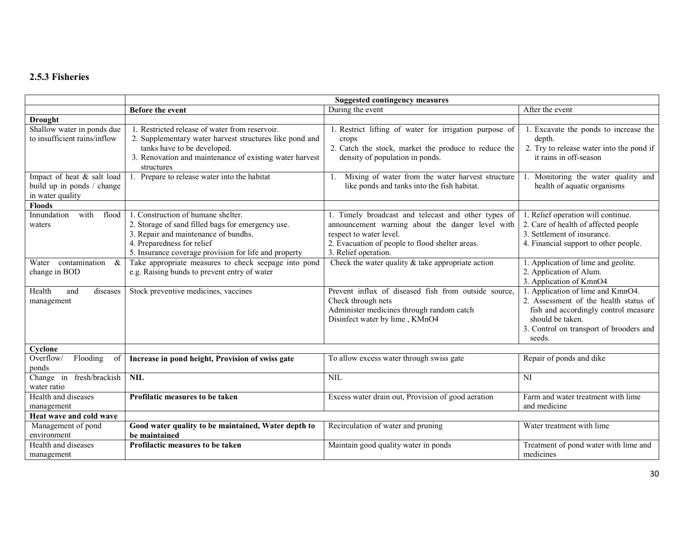# 2.5.3 Fisheries

|                                                                              | <b>Suggested contingency measures</b>                                                                                                                                                                                  |                                                                                                                                                                                                               |                                                                                                                                                                                             |  |  |  |  |  |  |
|------------------------------------------------------------------------------|------------------------------------------------------------------------------------------------------------------------------------------------------------------------------------------------------------------------|---------------------------------------------------------------------------------------------------------------------------------------------------------------------------------------------------------------|---------------------------------------------------------------------------------------------------------------------------------------------------------------------------------------------|--|--|--|--|--|--|
|                                                                              | Before the event                                                                                                                                                                                                       | During the event                                                                                                                                                                                              | After the event                                                                                                                                                                             |  |  |  |  |  |  |
| <b>Drought</b>                                                               |                                                                                                                                                                                                                        |                                                                                                                                                                                                               |                                                                                                                                                                                             |  |  |  |  |  |  |
| Shallow water in ponds due<br>to insufficient rains/inflow                   | 1. Restricted release of water from reservoir.<br>2. Supplementary water harvest structures like pond and<br>tanks have to be developed.<br>3. Renovation and maintenance of existing water harvest<br>structures      | 1. Restrict lifting of water for irrigation purpose of<br>crops<br>2. Catch the stock, market the produce to reduce the<br>density of population in ponds.                                                    | 1. Excavate the ponds to increase the<br>depth.<br>2. Try to release water into the pond if<br>it rains in off-season                                                                       |  |  |  |  |  |  |
| Impact of heat & salt load<br>build up in ponds / change<br>in water quality | 1. Prepare to release water into the habitat                                                                                                                                                                           | Mixing of water from the water harvest structure<br>$\mathbf{1}_{\cdot}$<br>like ponds and tanks into the fish habitat.                                                                                       | Monitoring the water quality and<br>health of aquatic organisms                                                                                                                             |  |  |  |  |  |  |
| Floods                                                                       |                                                                                                                                                                                                                        |                                                                                                                                                                                                               |                                                                                                                                                                                             |  |  |  |  |  |  |
| Innundation<br>with<br>flood<br>waters                                       | 1. Construction of humane shelter.<br>2. Storage of sand filled bags for emergency use.<br>3. Repair and maintenance of bundhs.<br>4. Preparedness for relief<br>5. Insurance coverage provision for life and property | 1. Timely broadcast and telecast and other types of<br>announcement warning about the danger level with<br>respect to water level.<br>2. Evacuation of people to flood shelter areas.<br>3. Relief operation. | 1. Relief operation will continue.<br>2. Care of health of affected people<br>3. Settlement of insurance.<br>4. Financial support to other people.                                          |  |  |  |  |  |  |
| $\&$<br>Water contamination<br>change in BOD                                 | Take appropriate measures to check seepage into pond<br>e.g. Raising bunds to prevent entry of water                                                                                                                   | Check the water quality $&$ take appropriate action                                                                                                                                                           | 1. Application of lime and geolite.<br>2. Application of Alum.<br>3. Application of KmnO4                                                                                                   |  |  |  |  |  |  |
| Health<br>and<br>diseases<br>management                                      | Stock preventive medicines, vaccines                                                                                                                                                                                   | Prevent influx of diseased fish from outside source,<br>Check through nets<br>Administer medicines through random catch<br>Disinfect water by lime, KMnO4                                                     | 1. Application of lime and KmnO4.<br>2. Assessment of the health status of<br>fish and accordingly control measure<br>should be taken.<br>3. Control on transport of brooders and<br>seeds. |  |  |  |  |  |  |
| Cyclone                                                                      |                                                                                                                                                                                                                        |                                                                                                                                                                                                               |                                                                                                                                                                                             |  |  |  |  |  |  |
| Flooding<br>Overflow/<br>of<br>ponds                                         | Increase in pond height, Provision of swiss gate                                                                                                                                                                       | To allow excess water through swiss gate                                                                                                                                                                      | Repair of ponds and dike                                                                                                                                                                    |  |  |  |  |  |  |
| Change in fresh/brackish<br>water ratio                                      | <b>NIL</b>                                                                                                                                                                                                             | <b>NIL</b>                                                                                                                                                                                                    | <b>NI</b>                                                                                                                                                                                   |  |  |  |  |  |  |
| Health and diseases<br>management                                            | Profilatic measures to be taken                                                                                                                                                                                        | Excess water drain out, Provision of good aeration                                                                                                                                                            | Farm and water treatment with lime<br>and medicine                                                                                                                                          |  |  |  |  |  |  |
| Heat wave and cold wave                                                      |                                                                                                                                                                                                                        |                                                                                                                                                                                                               |                                                                                                                                                                                             |  |  |  |  |  |  |
| Management of pond<br>environment                                            | Good water quality to be maintained, Water depth to<br>be maintained                                                                                                                                                   | Recirculation of water and pruning                                                                                                                                                                            | Water treatment with lime                                                                                                                                                                   |  |  |  |  |  |  |
| Health and diseases<br>management                                            | Profilactic measures to be taken                                                                                                                                                                                       | Maintain good quality water in ponds                                                                                                                                                                          | Treatment of pond water with lime and<br>medicines                                                                                                                                          |  |  |  |  |  |  |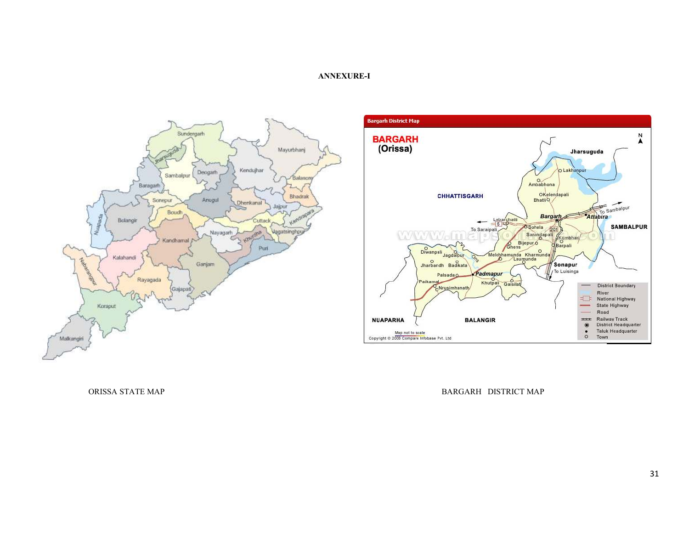#### ANNEXURE-I





ORISSA STATE MAP BARGARH DISTRICT MAP